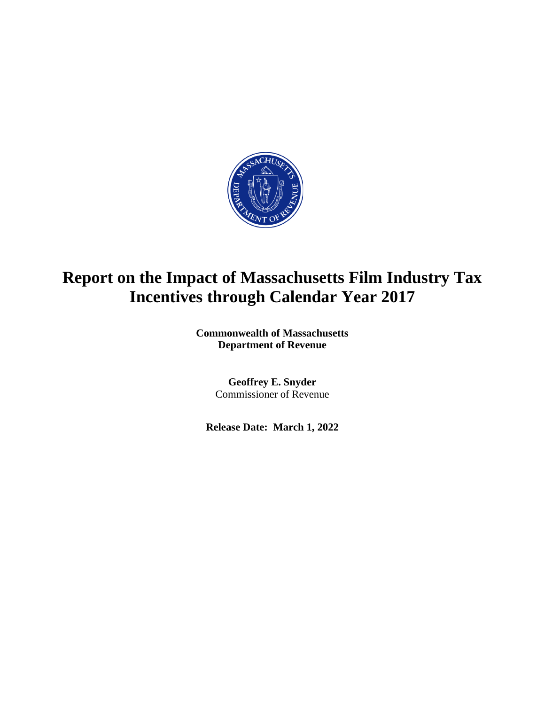

## **Report on the Impact of Massachusetts Film Industry Tax Incentives through Calendar Year 2017**

**Commonwealth of Massachusetts Department of Revenue**

> **Geoffrey E. Snyder** Commissioner of Revenue

**Release Date: March 1, 2022**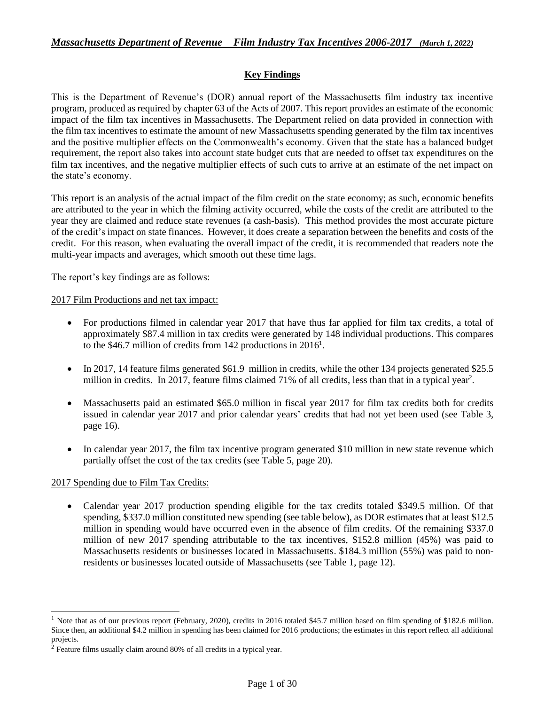## **Key Findings**

This is the Department of Revenue's (DOR) annual report of the Massachusetts film industry tax incentive program, produced as required by chapter 63 of the Acts of 2007. This report provides an estimate of the economic impact of the film tax incentives in Massachusetts. The Department relied on data provided in connection with the film tax incentives to estimate the amount of new Massachusetts spending generated by the film tax incentives and the positive multiplier effects on the Commonwealth's economy. Given that the state has a balanced budget requirement, the report also takes into account state budget cuts that are needed to offset tax expenditures on the film tax incentives, and the negative multiplier effects of such cuts to arrive at an estimate of the net impact on the state's economy.

This report is an analysis of the actual impact of the film credit on the state economy; as such, economic benefits are attributed to the year in which the filming activity occurred, while the costs of the credit are attributed to the year they are claimed and reduce state revenues (a cash-basis). This method provides the most accurate picture of the credit's impact on state finances. However, it does create a separation between the benefits and costs of the credit. For this reason, when evaluating the overall impact of the credit, it is recommended that readers note the multi-year impacts and averages, which smooth out these time lags.

The report's key findings are as follows:

#### 2017 Film Productions and net tax impact:

- For productions filmed in calendar year 2017 that have thus far applied for film tax credits, a total of approximately \$87.4 million in tax credits were generated by 148 individual productions. This compares to the \$46.7 million of credits from 142 productions in  $2016<sup>1</sup>$ .
- In 2017, 14 feature films generated \$61.9 million in credits, while the other 134 projects generated \$25.5 million in credits. In 2017, feature films claimed 71% of all credits, less than that in a typical year<sup>2</sup>.
- Massachusetts paid an estimated \$65.0 million in fiscal year 2017 for film tax credits both for credits issued in calendar year 2017 and prior calendar years' credits that had not yet been used (see Table 3, page 16).
- In calendar year 2017, the film tax incentive program generated \$10 million in new state revenue which partially offset the cost of the tax credits (see Table 5, page 20).

## 2017 Spending due to Film Tax Credits:

• Calendar year 2017 production spending eligible for the tax credits totaled \$349.5 million. Of that spending, \$337.0 million constituted new spending (see table below), as DOR estimates that at least \$12.5 million in spending would have occurred even in the absence of film credits. Of the remaining \$337.0 million of new 2017 spending attributable to the tax incentives, \$152.8 million (45%) was paid to Massachusetts residents or businesses located in Massachusetts. \$184.3 million (55%) was paid to nonresidents or businesses located outside of Massachusetts (see Table 1, page 12).

<sup>&</sup>lt;sup>1</sup> Note that as of our previous report (February, 2020), credits in 2016 totaled \$45.7 million based on film spending of \$182.6 million. Since then, an additional \$4.2 million in spending has been claimed for 2016 productions; the estimates in this report reflect all additional projects.

<sup>2</sup> Feature films usually claim around 80% of all credits in a typical year.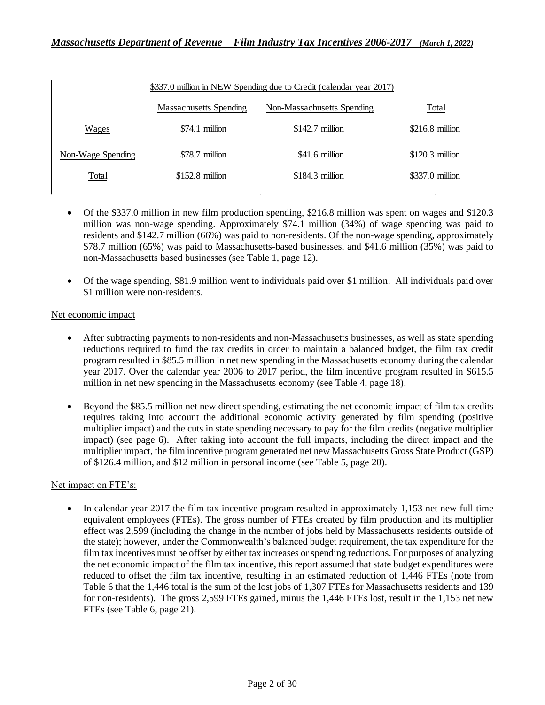| \$337.0 million in NEW Spending due to Credit (calendar year 2017) |                        |                            |                  |  |  |  |  |
|--------------------------------------------------------------------|------------------------|----------------------------|------------------|--|--|--|--|
|                                                                    | Massachusetts Spending | Non-Massachusetts Spending | Total            |  |  |  |  |
| Wages                                                              | $$74.1$ million        | $$142.7$ million           | $$216.8$ million |  |  |  |  |
| Non-Wage Spending                                                  | \$78.7 million         | $$41.6$ million            | $$120.3$ million |  |  |  |  |
| <b>Total</b>                                                       | $$152.8$ million       | $$184.3$ million           | $$337.0$ million |  |  |  |  |

- Of the \$337.0 million in <u>new</u> film production spending, \$216.8 million was spent on wages and \$120.3 million was non-wage spending. Approximately \$74.1 million (34%) of wage spending was paid to residents and \$142.7 million (66%) was paid to non-residents. Of the non-wage spending, approximately \$78.7 million (65%) was paid to Massachusetts-based businesses, and \$41.6 million (35%) was paid to non-Massachusetts based businesses (see Table 1, page 12).
- Of the wage spending, \$81.9 million went to individuals paid over \$1 million. All individuals paid over \$1 million were non-residents.

#### Net economic impact

- After subtracting payments to non-residents and non-Massachusetts businesses, as well as state spending reductions required to fund the tax credits in order to maintain a balanced budget, the film tax credit program resulted in \$85.5 million in net new spending in the Massachusetts economy during the calendar year 2017. Over the calendar year 2006 to 2017 period, the film incentive program resulted in \$615.5 million in net new spending in the Massachusetts economy (see Table 4, page 18).
- Beyond the \$85.5 million net new direct spending, estimating the net economic impact of film tax credits requires taking into account the additional economic activity generated by film spending (positive multiplier impact) and the cuts in state spending necessary to pay for the film credits (negative multiplier impact) (see page 6). After taking into account the full impacts, including the direct impact and the multiplier impact, the film incentive program generated net new Massachusetts Gross State Product (GSP) of \$126.4 million, and \$12 million in personal income (see Table 5, page 20).

## Net impact on FTE's:

• In calendar year 2017 the film tax incentive program resulted in approximately 1,153 net new full time equivalent employees (FTEs). The gross number of FTEs created by film production and its multiplier effect was 2,599 (including the change in the number of jobs held by Massachusetts residents outside of the state); however, under the Commonwealth's balanced budget requirement, the tax expenditure for the film tax incentives must be offset by either tax increases or spending reductions. For purposes of analyzing the net economic impact of the film tax incentive, this report assumed that state budget expenditures were reduced to offset the film tax incentive, resulting in an estimated reduction of 1,446 FTEs (note from Table 6 that the 1,446 total is the sum of the lost jobs of 1,307 FTEs for Massachusetts residents and 139 for non-residents). The gross 2,599 FTEs gained, minus the 1,446 FTEs lost, result in the 1,153 net new FTEs (see Table 6, page 21).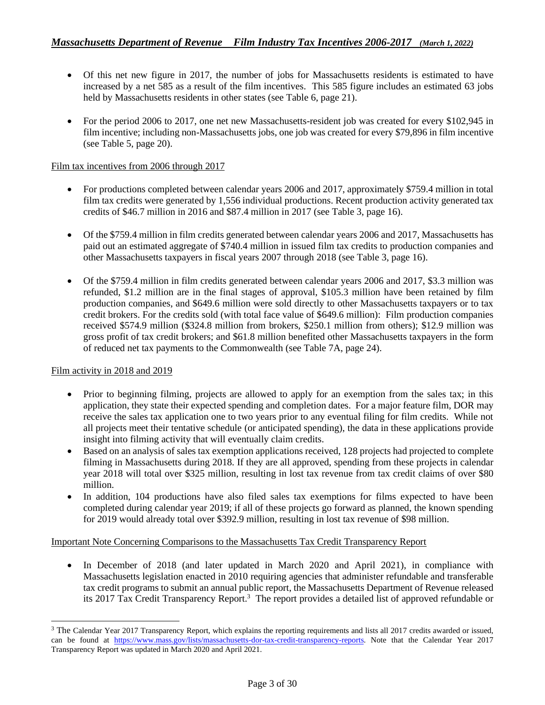- Of this net new figure in 2017, the number of jobs for Massachusetts residents is estimated to have increased by a net 585 as a result of the film incentives. This 585 figure includes an estimated 63 jobs held by Massachusetts residents in other states (see Table 6, page 21).
- For the period 2006 to 2017, one net new Massachusetts-resident job was created for every \$102,945 in film incentive; including non-Massachusetts jobs, one job was created for every \$79,896 in film incentive (see Table 5, page 20).

#### Film tax incentives from 2006 through 2017

- For productions completed between calendar years 2006 and 2017, approximately \$759.4 million in total film tax credits were generated by 1,556 individual productions. Recent production activity generated tax credits of \$46.7 million in 2016 and \$87.4 million in 2017 (see Table 3, page 16).
- Of the \$759.4 million in film credits generated between calendar years 2006 and 2017, Massachusetts has paid out an estimated aggregate of \$740.4 million in issued film tax credits to production companies and other Massachusetts taxpayers in fiscal years 2007 through 2018 (see Table 3, page 16).
- Of the \$759.4 million in film credits generated between calendar years 2006 and 2017, \$3.3 million was refunded, \$1.2 million are in the final stages of approval, \$105.3 million have been retained by film production companies, and \$649.6 million were sold directly to other Massachusetts taxpayers or to tax credit brokers. For the credits sold (with total face value of \$649.6 million): Film production companies received \$574.9 million (\$324.8 million from brokers, \$250.1 million from others); \$12.9 million was gross profit of tax credit brokers; and \$61.8 million benefited other Massachusetts taxpayers in the form of reduced net tax payments to the Commonwealth (see Table 7A, page 24).

#### Film activity in 2018 and 2019

- Prior to beginning filming, projects are allowed to apply for an exemption from the sales tax; in this application, they state their expected spending and completion dates. For a major feature film, DOR may receive the sales tax application one to two years prior to any eventual filing for film credits. While not all projects meet their tentative schedule (or anticipated spending), the data in these applications provide insight into filming activity that will eventually claim credits.
- Based on an analysis of sales tax exemption applications received, 128 projects had projected to complete filming in Massachusetts during 2018. If they are all approved, spending from these projects in calendar year 2018 will total over \$325 million, resulting in lost tax revenue from tax credit claims of over \$80 million.
- In addition, 104 productions have also filed sales tax exemptions for films expected to have been completed during calendar year 2019; if all of these projects go forward as planned, the known spending for 2019 would already total over \$392.9 million, resulting in lost tax revenue of \$98 million.

#### Important Note Concerning Comparisons to the Massachusetts Tax Credit Transparency Report

• In December of 2018 (and later updated in March 2020 and April 2021), in compliance with Massachusetts legislation enacted in 2010 requiring agencies that administer refundable and transferable tax credit programs to submit an annual public report, the Massachusetts Department of Revenue released its 2017 Tax Credit Transparency Report. <sup>3</sup> The report provides a detailed list of approved refundable or

<sup>&</sup>lt;sup>3</sup> The Calendar Year 2017 Transparency Report, which explains the reporting requirements and lists all 2017 credits awarded or issued, can be found at [https://www.mass.gov/lists/massachusetts-dor-tax-credit-transparency-reports.](https://www.mass.gov/lists/massachusetts-dor-tax-credit-transparency-reports) Note that the Calendar Year 2017 Transparency Report was updated in March 2020 and April 2021.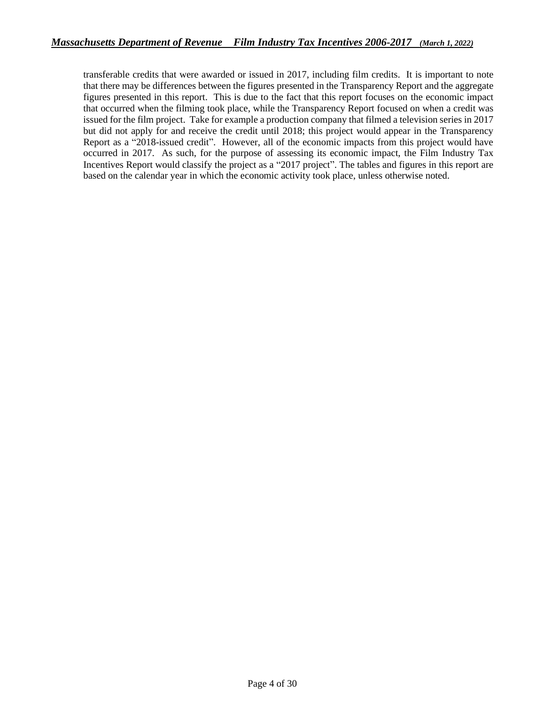transferable credits that were awarded or issued in 2017, including film credits. It is important to note that there may be differences between the figures presented in the Transparency Report and the aggregate figures presented in this report. This is due to the fact that this report focuses on the economic impact that occurred when the filming took place, while the Transparency Report focused on when a credit was issued for the film project. Take for example a production company that filmed a television series in 2017 but did not apply for and receive the credit until 2018; this project would appear in the Transparency Report as a "2018-issued credit". However, all of the economic impacts from this project would have occurred in 2017. As such, for the purpose of assessing its economic impact, the Film Industry Tax Incentives Report would classify the project as a "2017 project". The tables and figures in this report are based on the calendar year in which the economic activity took place, unless otherwise noted.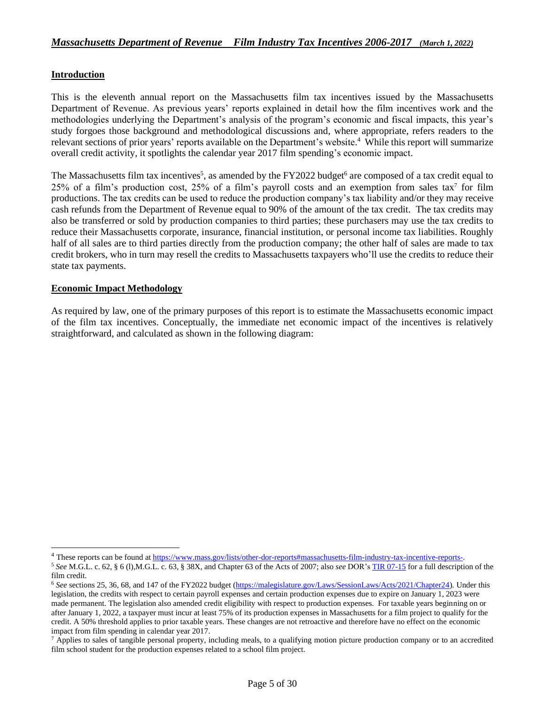#### **Introduction**

This is the eleventh annual report on the Massachusetts film tax incentives issued by the Massachusetts Department of Revenue. As previous years' reports explained in detail how the film incentives work and the methodologies underlying the Department's analysis of the program's economic and fiscal impacts, this year's study forgoes those background and methodological discussions and, where appropriate, refers readers to the relevant sections of prior years' reports available on the Department's website. 4 While this report will summarize overall credit activity, it spotlights the calendar year 2017 film spending's economic impact.

The Massachusetts film tax incentives<sup>5</sup>, as amended by the FY2022 budget<sup>6</sup> are composed of a tax credit equal to 25% of a film's production cost, 25% of a film's payroll costs and an exemption from sales tax<sup>7</sup> for film productions. The tax credits can be used to reduce the production company's tax liability and/or they may receive cash refunds from the Department of Revenue equal to 90% of the amount of the tax credit. The tax credits may also be transferred or sold by production companies to third parties; these purchasers may use the tax credits to reduce their Massachusetts corporate, insurance, financial institution, or personal income tax liabilities. Roughly half of all sales are to third parties directly from the production company; the other half of sales are made to tax credit brokers, who in turn may resell the credits to Massachusetts taxpayers who'll use the credits to reduce their state tax payments.

#### **Economic Impact Methodology**

As required by law, one of the primary purposes of this report is to estimate the Massachusetts economic impact of the film tax incentives. Conceptually, the immediate net economic impact of the incentives is relatively straightforward, and calculated as shown in the following diagram:

<sup>&</sup>lt;sup>4</sup> These reports can be found at [https://www.mass.gov/lists/other-dor-reports#massachusetts-film-industry-tax-incentive-reports-.](https://www.mass.gov/lists/other-dor-reports#massachusetts-film-industry-tax-incentive-reports-)

<sup>5</sup> *See* M.G.L. c. 62, § 6 (l),M.G.L. c. 63, § 38X, and Chapter 63 of the Acts of 2007; also *see* DOR'[s TIR 07-15](http://www.mass.gov/dor/businesses/help-and-resources/legal-library/tirs/tirs-by-years/2007-releases/tir-07-15-an-act-providing-incentives-to-the.html) for a full description of the film credit.

<sup>6</sup> *See* sections 25, 36, 68, and 147 of the FY2022 budget [\(https://malegislature.gov/Laws/SessionLaws/Acts/2021/Chapter24\)](https://malegislature.gov/Laws/SessionLaws/Acts/2021/Chapter24). Under this legislation, the credits with respect to certain payroll expenses and certain production expenses due to expire on January 1, 2023 were made permanent. The legislation also amended credit eligibility with respect to production expenses. For taxable years beginning on or after January 1, 2022, a taxpayer must incur at least 75% of its production expenses in Massachusetts for a film project to qualify for the credit. A 50% threshold applies to prior taxable years. These changes are not retroactive and therefore have no effect on the economic impact from film spending in calendar year 2017.

 $7$  Applies to sales of tangible personal property, including meals, to a qualifying motion picture production company or to an accredited film school student for the production expenses related to a school film project.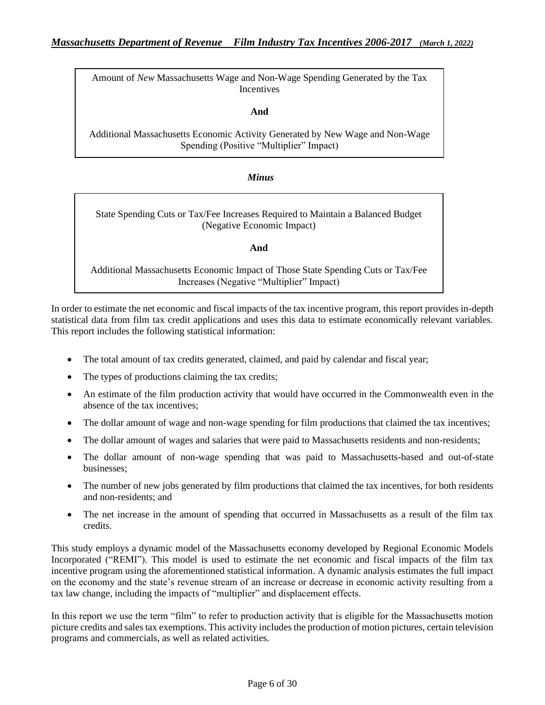Amount of *New* Massachusetts Wage and Non-Wage Spending Generated by the Tax Incentives

**And**

Additional Massachusetts Economic Activity Generated by New Wage and Non-Wage Spending (Positive "Multiplier" Impact)

#### *Minus*

State Spending Cuts or Tax/Fee Increases Required to Maintain a Balanced Budget (Negative Economic Impact)

**And**

Additional Massachusetts Economic Impact of Those State Spending Cuts or Tax/Fee Increases (Negative "Multiplier" Impact)

In order to estimate the net economic and fiscal impacts of the tax incentive program, this report provides in-depth statistical data from film tax credit applications and uses this data to estimate economically relevant variables. This report includes the following statistical information:

- The total amount of tax credits generated, claimed, and paid by calendar and fiscal year;
- The types of productions claiming the tax credits;
- An estimate of the film production activity that would have occurred in the Commonwealth even in the absence of the tax incentives;
- The dollar amount of wage and non-wage spending for film productions that claimed the tax incentives;
- The dollar amount of wages and salaries that were paid to Massachusetts residents and non-residents;
- The dollar amount of non-wage spending that was paid to Massachusetts-based and out-of-state businesses;
- The number of new jobs generated by film productions that claimed the tax incentives, for both residents and non-residents; and
- The net increase in the amount of spending that occurred in Massachusetts as a result of the film tax credits.

This study employs a dynamic model of the Massachusetts economy developed by Regional Economic Models Incorporated ("REMI"). This model is used to estimate the net economic and fiscal impacts of the film tax incentive program using the aforementioned statistical information. A dynamic analysis estimates the full impact on the economy and the state's revenue stream of an increase or decrease in economic activity resulting from a tax law change, including the impacts of "multiplier" and displacement effects.

In this report we use the term "film" to refer to production activity that is eligible for the Massachusetts motion picture credits and sales tax exemptions. This activity includes the production of motion pictures, certain television programs and commercials, as well as related activities.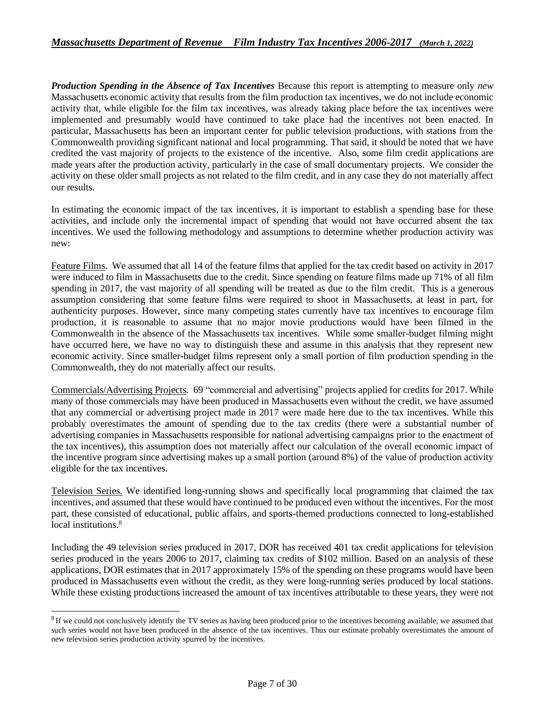*Production Spending in the Absence of Tax Incentives* Because this report is attempting to measure only *new* Massachusetts economic activity that results from the film production tax incentives, we do not include economic activity that, while eligible for the film tax incentives, was already taking place before the tax incentives were implemented and presumably would have continued to take place had the incentives not been enacted. In particular, Massachusetts has been an important center for public television productions, with stations from the Commonwealth providing significant national and local programming. That said, it should be noted that we have credited the vast majority of projects to the existence of the incentive. Also, some film credit applications are made years after the production activity, particularly in the case of small documentary projects. We consider the activity on these older small projects as not related to the film credit, and in any case they do not materially affect our results.

In estimating the economic impact of the tax incentives, it is important to establish a spending base for these activities, and include only the incremental impact of spending that would not have occurred absent the tax incentives. We used the following methodology and assumptions to determine whether production activity was new:

Feature Films. We assumed that all 14 of the feature films that applied for the tax credit based on activity in 2017 were induced to film in Massachusetts due to the credit. Since spending on feature films made up 71% of all film spending in 2017, the vast majority of all spending will be treated as due to the film credit. This is a generous assumption considering that some feature films were required to shoot in Massachusetts, at least in part, for authenticity purposes. However, since many competing states currently have tax incentives to encourage film production, it is reasonable to assume that no major movie productions would have been filmed in the Commonwealth in the absence of the Massachusetts tax incentives. While some smaller-budget filming might have occurred here, we have no way to distinguish these and assume in this analysis that they represent new economic activity. Since smaller-budget films represent only a small portion of film production spending in the Commonwealth, they do not materially affect our results.

Commercials/Advertising Projects*.* 69 "commercial and advertising" projects applied for credits for 2017. While many of those commercials may have been produced in Massachusetts even without the credit, we have assumed that any commercial or advertising project made in 2017 were made here due to the tax incentives. While this probably overestimates the amount of spending due to the tax credits (there were a substantial number of advertising companies in Massachusetts responsible for national advertising campaigns prior to the enactment of the tax incentives), this assumption does not materially affect our calculation of the overall economic impact of the incentive program since advertising makes up a small portion (around 8%) of the value of production activity eligible for the tax incentives.

Television Series. We identified long-running shows and specifically local programming that claimed the tax incentives, and assumed that these would have continued to be produced even without the incentives. For the most part, these consisted of educational, public affairs, and sports-themed productions connected to long-established local institutions.<sup>8</sup>

Including the 49 television series produced in 2017, DOR has received 401 tax credit applications for television series produced in the years 2006 to 2017, claiming tax credits of \$102 million. Based on an analysis of these applications, DOR estimates that in 2017 approximately 15% of the spending on these programs would have been produced in Massachusetts even without the credit, as they were long-running series produced by local stations. While these existing productions increased the amount of tax incentives attributable to these years, they were not

<sup>&</sup>lt;sup>8</sup> If we could not conclusively identify the TV series as having been produced prior to the incentives becoming available, we assumed that such series would not have been produced in the absence of the tax incentives. Thus our estimate probably overestimates the amount of new television series production activity spurred by the incentives.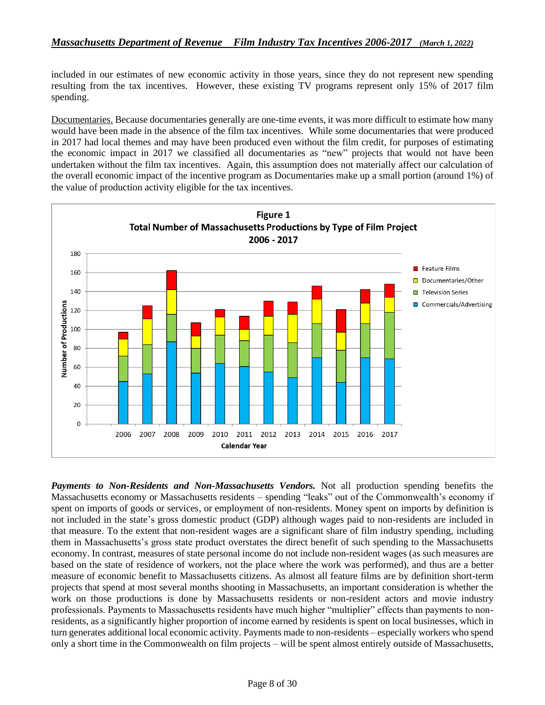included in our estimates of new economic activity in those years, since they do not represent new spending resulting from the tax incentives. However, these existing TV programs represent only 15% of 2017 film spending.

Documentaries. Because documentaries generally are one-time events, it was more difficult to estimate how many would have been made in the absence of the film tax incentives. While some documentaries that were produced in 2017 had local themes and may have been produced even without the film credit, for purposes of estimating the economic impact in 2017 we classified all documentaries as "new" projects that would not have been undertaken without the film tax incentives. Again, this assumption does not materially affect our calculation of the overall economic impact of the incentive program as Documentaries make up a small portion (around 1%) of the value of production activity eligible for the tax incentives.



*Payments to Non-Residents and Non-Massachusetts Vendors.* Not all production spending benefits the Massachusetts economy or Massachusetts residents – spending "leaks" out of the Commonwealth's economy if spent on imports of goods or services, or employment of non-residents. Money spent on imports by definition is not included in the state's gross domestic product (GDP) although wages paid to non-residents are included in that measure. To the extent that non-resident wages are a significant share of film industry spending, including them in Massachusetts's gross state product overstates the direct benefit of such spending to the Massachusetts economy. In contrast, measures of state personal income do not include non-resident wages (as such measures are based on the state of residence of workers, not the place where the work was performed), and thus are a better measure of economic benefit to Massachusetts citizens. As almost all feature films are by definition short-term projects that spend at most several months shooting in Massachusetts, an important consideration is whether the work on those productions is done by Massachusetts residents or non-resident actors and movie industry professionals. Payments to Massachusetts residents have much higher "multiplier" effects than payments to nonresidents, as a significantly higher proportion of income earned by residents is spent on local businesses, which in turn generates additional local economic activity. Payments made to non-residents – especially workers who spend only a short time in the Commonwealth on film projects – will be spent almost entirely outside of Massachusetts,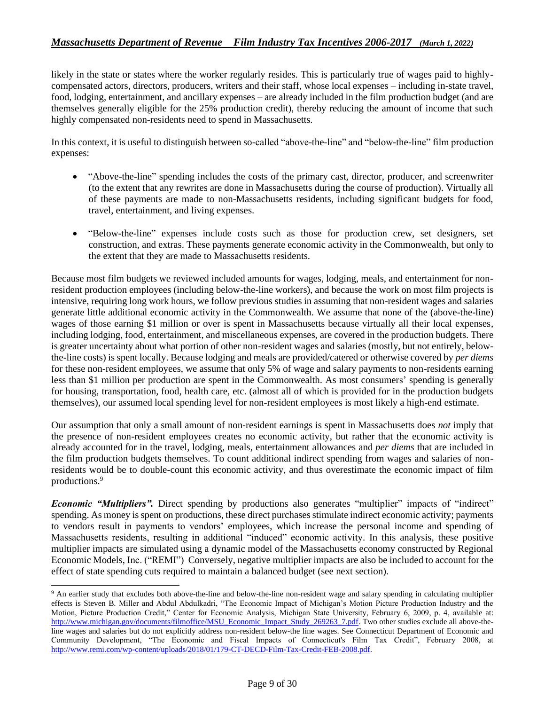likely in the state or states where the worker regularly resides. This is particularly true of wages paid to highlycompensated actors, directors, producers, writers and their staff, whose local expenses – including in-state travel, food, lodging, entertainment, and ancillary expenses – are already included in the film production budget (and are themselves generally eligible for the 25% production credit), thereby reducing the amount of income that such highly compensated non-residents need to spend in Massachusetts.

In this context, it is useful to distinguish between so-called "above-the-line" and "below-the-line" film production expenses:

- "Above-the-line" spending includes the costs of the primary cast, director, producer, and screenwriter (to the extent that any rewrites are done in Massachusetts during the course of production). Virtually all of these payments are made to non-Massachusetts residents, including significant budgets for food, travel, entertainment, and living expenses.
- "Below-the-line" expenses include costs such as those for production crew, set designers, set construction, and extras. These payments generate economic activity in the Commonwealth, but only to the extent that they are made to Massachusetts residents.

Because most film budgets we reviewed included amounts for wages, lodging, meals, and entertainment for nonresident production employees (including below-the-line workers), and because the work on most film projects is intensive, requiring long work hours, we follow previous studies in assuming that non-resident wages and salaries generate little additional economic activity in the Commonwealth. We assume that none of the (above-the-line) wages of those earning \$1 million or over is spent in Massachusetts because virtually all their local expenses, including lodging, food, entertainment, and miscellaneous expenses, are covered in the production budgets. There is greater uncertainty about what portion of other non-resident wages and salaries (mostly, but not entirely, belowthe-line costs) is spent locally. Because lodging and meals are provided/catered or otherwise covered by *per diems* for these non-resident employees, we assume that only 5% of wage and salary payments to non-residents earning less than \$1 million per production are spent in the Commonwealth. As most consumers' spending is generally for housing, transportation, food, health care, etc. (almost all of which is provided for in the production budgets themselves), our assumed local spending level for non-resident employees is most likely a high-end estimate.

Our assumption that only a small amount of non-resident earnings is spent in Massachusetts does *not* imply that the presence of non-resident employees creates no economic activity, but rather that the economic activity is already accounted for in the travel, lodging, meals, entertainment allowances and *per diems* that are included in the film production budgets themselves. To count additional indirect spending from wages and salaries of nonresidents would be to double-count this economic activity, and thus overestimate the economic impact of film productions.<sup>9</sup>

*Economic "Multipliers".* Direct spending by productions also generates "multiplier" impacts of "indirect" spending. As money is spent on productions, these direct purchases stimulate indirect economic activity; payments to vendors result in payments to vendors' employees, which increase the personal income and spending of Massachusetts residents, resulting in additional "induced" economic activity. In this analysis, these positive multiplier impacts are simulated using a dynamic model of the Massachusetts economy constructed by Regional Economic Models, Inc. ("REMI") Conversely, negative multiplier impacts are also be included to account for the effect of state spending cuts required to maintain a balanced budget (see next section).

<sup>&</sup>lt;sup>9</sup> An earlier study that excludes both above-the-line and below-the-line non-resident wage and salary spending in calculating multiplier effects is Steven B. Miller and Abdul Abdulkadri, "The Economic Impact of Michigan's Motion Picture Production Industry and the Motion, Picture Production Credit," Center for Economic Analysis, Michigan State University, February 6, 2009, p. 4, available at: [http://www.michigan.gov/documents/filmoffice/MSU\\_Economic\\_Impact\\_Study\\_269263\\_7.pdf.](http://www.michigan.gov/documents/filmoffice/MSU_Economic_Impact_Study_269263_7.pdf) Two other studies exclude all above-theline wages and salaries but do not explicitly address non-resident below-the line wages. See Connecticut Department of Economic and Community Development, "The Economic and Fiscal Impacts of Connecticut's Film Tax Credit", February 2008, at [http://www.remi.com/wp-content/uploads/2018/01/179-CT-DECD-Film-Tax-Credit-FEB-2008.pdf.](http://www.remi.com/wp-content/uploads/2018/01/179-CT-DECD-Film-Tax-Credit-FEB-2008.pdf)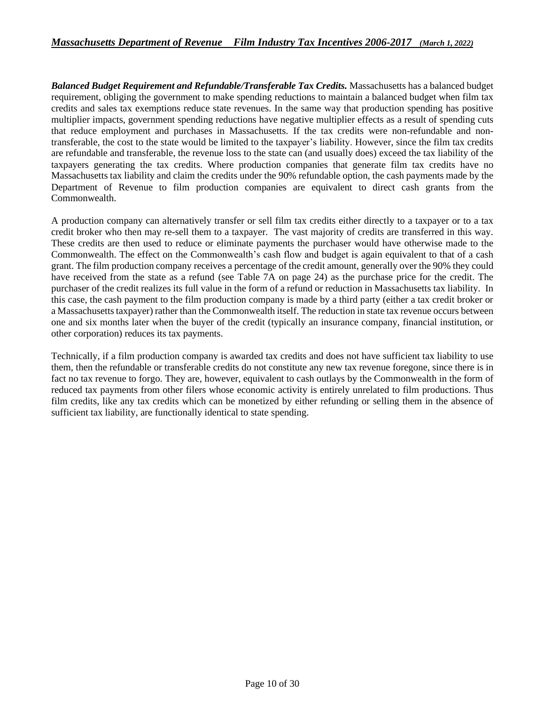*Balanced Budget Requirement and Refundable/Transferable Tax Credits.* Massachusetts has a balanced budget requirement, obliging the government to make spending reductions to maintain a balanced budget when film tax credits and sales tax exemptions reduce state revenues. In the same way that production spending has positive multiplier impacts, government spending reductions have negative multiplier effects as a result of spending cuts that reduce employment and purchases in Massachusetts. If the tax credits were non-refundable and nontransferable, the cost to the state would be limited to the taxpayer's liability. However, since the film tax credits are refundable and transferable, the revenue loss to the state can (and usually does) exceed the tax liability of the taxpayers generating the tax credits. Where production companies that generate film tax credits have no Massachusetts tax liability and claim the credits under the 90% refundable option, the cash payments made by the Department of Revenue to film production companies are equivalent to direct cash grants from the Commonwealth.

A production company can alternatively transfer or sell film tax credits either directly to a taxpayer or to a tax credit broker who then may re-sell them to a taxpayer. The vast majority of credits are transferred in this way. These credits are then used to reduce or eliminate payments the purchaser would have otherwise made to the Commonwealth. The effect on the Commonwealth's cash flow and budget is again equivalent to that of a cash grant. The film production company receives a percentage of the credit amount, generally over the 90% they could have received from the state as a refund (see Table 7A on page 24) as the purchase price for the credit. The purchaser of the credit realizes its full value in the form of a refund or reduction in Massachusetts tax liability. In this case, the cash payment to the film production company is made by a third party (either a tax credit broker or a Massachusetts taxpayer) rather than the Commonwealth itself. The reduction in state tax revenue occurs between one and six months later when the buyer of the credit (typically an insurance company, financial institution, or other corporation) reduces its tax payments.

Technically, if a film production company is awarded tax credits and does not have sufficient tax liability to use them, then the refundable or transferable credits do not constitute any new tax revenue foregone, since there is in fact no tax revenue to forgo. They are, however, equivalent to cash outlays by the Commonwealth in the form of reduced tax payments from other filers whose economic activity is entirely unrelated to film productions. Thus film credits, like any tax credits which can be monetized by either refunding or selling them in the absence of sufficient tax liability, are functionally identical to state spending.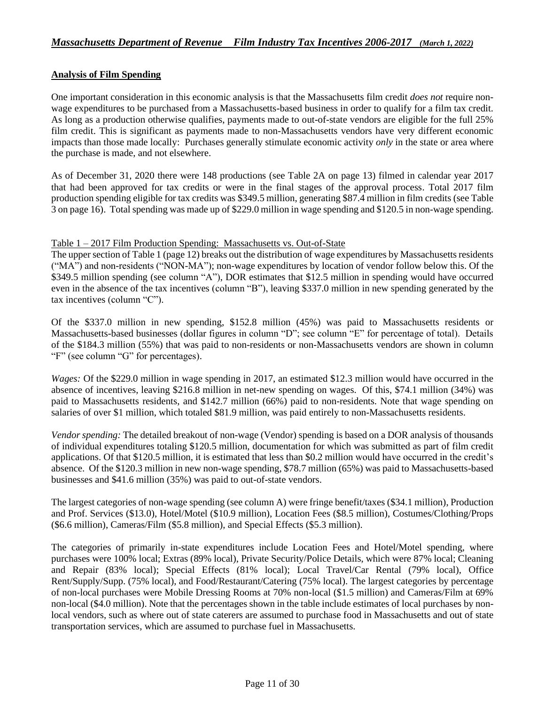### **Analysis of Film Spending**

One important consideration in this economic analysis is that the Massachusetts film credit *does not* require nonwage expenditures to be purchased from a Massachusetts-based business in order to qualify for a film tax credit. As long as a production otherwise qualifies, payments made to out-of-state vendors are eligible for the full 25% film credit. This is significant as payments made to non-Massachusetts vendors have very different economic impacts than those made locally: Purchases generally stimulate economic activity *only* in the state or area where the purchase is made, and not elsewhere.

As of December 31, 2020 there were 148 productions (see Table 2A on page 13) filmed in calendar year 2017 that had been approved for tax credits or were in the final stages of the approval process. Total 2017 film production spending eligible for tax credits was \$349.5 million, generating \$87.4 million in film credits (see Table 3 on page 16). Total spending was made up of \$229.0 million in wage spending and \$120.5 in non-wage spending.

#### Table 1 – 2017 Film Production Spending: Massachusetts vs. Out-of-State

The upper section of Table 1 (page 12) breaks out the distribution of wage expenditures by Massachusetts residents ("MA") and non-residents ("NON-MA"); non-wage expenditures by location of vendor follow below this. Of the \$349.5 million spending (see column "A"), DOR estimates that \$12.5 million in spending would have occurred even in the absence of the tax incentives (column "B"), leaving \$337.0 million in new spending generated by the tax incentives (column "C").

Of the \$337.0 million in new spending, \$152.8 million (45%) was paid to Massachusetts residents or Massachusetts-based businesses (dollar figures in column "D"; see column "E" for percentage of total). Details of the \$184.3 million (55%) that was paid to non-residents or non-Massachusetts vendors are shown in column "F" (see column "G" for percentages).

*Wages:* Of the \$229.0 million in wage spending in 2017, an estimated \$12.3 million would have occurred in the absence of incentives, leaving \$216.8 million in net-new spending on wages. Of this, \$74.1 million (34%) was paid to Massachusetts residents, and \$142.7 million (66%) paid to non-residents. Note that wage spending on salaries of over \$1 million, which totaled \$81.9 million, was paid entirely to non-Massachusetts residents.

*Vendor spending:* The detailed breakout of non-wage (Vendor) spending is based on a DOR analysis of thousands of individual expenditures totaling \$120.5 million, documentation for which was submitted as part of film credit applications. Of that \$120.5 million, it is estimated that less than \$0.2 million would have occurred in the credit's absence. Of the \$120.3 million in new non-wage spending, \$78.7 million (65%) was paid to Massachusetts-based businesses and \$41.6 million (35%) was paid to out-of-state vendors.

The largest categories of non-wage spending (see column A) were fringe benefit/taxes (\$34.1 million), Production and Prof. Services (\$13.0), Hotel/Motel (\$10.9 million), Location Fees (\$8.5 million), Costumes/Clothing/Props (\$6.6 million), Cameras/Film (\$5.8 million), and Special Effects (\$5.3 million).

The categories of primarily in-state expenditures include Location Fees and Hotel/Motel spending, where purchases were 100% local; Extras (89% local), Private Security/Police Details, which were 87% local; Cleaning and Repair (83% local); Special Effects (81% local); Local Travel/Car Rental (79% local), Office Rent/Supply/Supp. (75% local), and Food/Restaurant/Catering (75% local). The largest categories by percentage of non-local purchases were Mobile Dressing Rooms at 70% non-local (\$1.5 million) and Cameras/Film at 69% non-local (\$4.0 million). Note that the percentages shown in the table include estimates of local purchases by nonlocal vendors, such as where out of state caterers are assumed to purchase food in Massachusetts and out of state transportation services, which are assumed to purchase fuel in Massachusetts.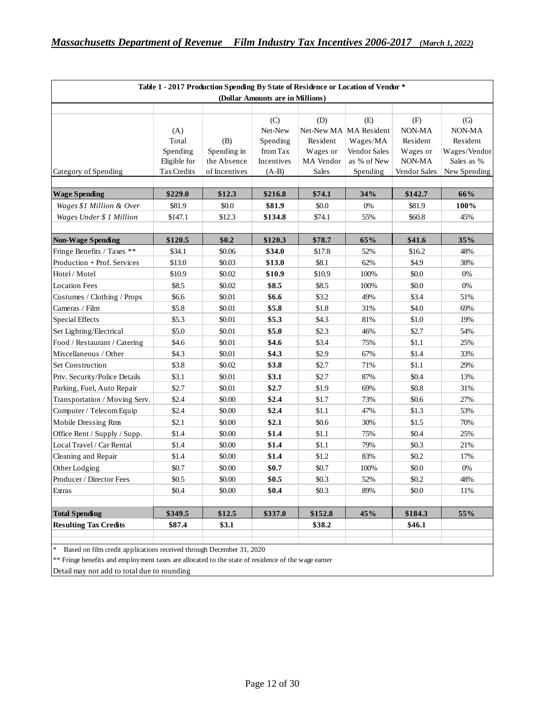| Table 1 - 2017 Production Spending By State of Residence or Location of Vendor * |              |               |                                  |                  |                               |               |                             |  |
|----------------------------------------------------------------------------------|--------------|---------------|----------------------------------|------------------|-------------------------------|---------------|-----------------------------|--|
|                                                                                  |              |               | (Dollar Amounts are in Millions) |                  |                               |               |                             |  |
|                                                                                  | (A)          |               | (C)<br>Net-New                   | (D)              | (E)<br>Net-New MA MA Resident | (F)<br>NON-MA | $\left( G\right)$<br>NON-MA |  |
|                                                                                  | Total        | (B)           | Spending                         | Resident         | Wages/MA                      | Resident      | Resident                    |  |
|                                                                                  | Spending     | Spending in   | from Tax                         | Wages or         | Vendor Sales                  | Wages or      | Wages/Vendor                |  |
|                                                                                  | Eligible for | the Absence   | Incentives                       | <b>MA</b> Vendor | as % of New                   | NON-MA        | Sales as %                  |  |
| Category of Spending                                                             | Tax Credits  | of Incentives | $(A-B)$                          | Sales            | Spending                      | Vendor Sales  | New Spending                |  |
| <b>Wage Spending</b>                                                             | \$229.0      | \$12.3        | \$216.8                          | \$74.1           | 34%                           | \$142.7       | 66%                         |  |
| Wages \$1 Million & Over                                                         | \$81.9       | \$0.0         | \$81.9                           | \$0.0            | 0%                            | \$81.9        | 100%                        |  |
| Wages Under \$ 1 Million                                                         | \$147.1      | \$12.3        | \$134.8                          | \$74.1           | 55%                           | \$60.8        | 45%                         |  |
|                                                                                  |              |               |                                  |                  |                               |               |                             |  |
| <b>Non-Wage Spending</b>                                                         | \$120.5      | \$0.2\$       | \$120.3                          | \$78.7           | 65%                           | \$41.6        | 35%                         |  |
| Fringe Benefits / Taxes **                                                       | \$34.1       | \$0.06        | \$34.0                           | \$17.8           | 52%                           | \$16.2        | 48%                         |  |
| Production + Prof. Services                                                      | \$13.0       | \$0.03        | \$13.0                           | \$8.1            | 62%                           | \$4.9         | 38%                         |  |
| Hotel / Motel                                                                    | \$10.9       | \$0.02        | \$10.9                           | \$10.9           | 100%                          | \$0.0         | $0\%$                       |  |
| <b>Location Fees</b>                                                             | \$8.5        | \$0.02        | \$8.5                            | \$8.5            | 100%                          | \$0.0         | 0%                          |  |
| Costumes / Clothing / Props                                                      | \$6.6        | \$0.01        | \$6.6                            | \$3.2            | 49%                           | \$3.4         | 51%                         |  |
| Cameras / Film                                                                   | \$5.8        | \$0.01        | \$5.8                            | \$1.8            | 31%                           | \$4.0         | 69%                         |  |
| Special Effects                                                                  | \$5.3        | \$0.01        | \$5.3                            | \$4.3            | 81%                           | \$1.0         | 19%                         |  |
| Set Lighting/Electrical                                                          | \$5.0        | \$0.01        | \$5.0                            | \$2.3            | 46%                           | \$2.7         | 54%                         |  |
| Food / Restaurant / Catering                                                     | \$4.6        | \$0.01        | \$4.6                            | \$3.4            | 75%                           | \$1.1         | 25%                         |  |
| Miscellaneous / Other                                                            | \$4.3        | \$0.01        | \$4.3                            | \$2.9            | 67%                           | \$1.4         | 33%                         |  |
| Set Construction                                                                 | \$3.8        | \$0.02        | \$3.8                            | \$2.7            | 71%                           | \$1.1         | 29%                         |  |
| Priv. Security/Police Details                                                    | \$3.1        | \$0.01        | \$3.1                            | \$2.7            | 87%                           | \$0.4         | 13%                         |  |
| Parking, Fuel, Auto Repair                                                       | \$2.7        | \$0.01        | \$2.7                            | \$1.9            | 69%                           | \$0.8         | 31%                         |  |
| Transportation / Moving Serv.                                                    | \$2.4        | \$0.00        | \$2.4                            | \$1.7            | 73%                           | \$0.6         | 27%                         |  |
| Computer / Telecom Equip                                                         | \$2.4        | \$0.00        | \$2.4                            | \$1.1            | 47%                           | \$1.3         | 53%                         |  |
| Mobile Dressing Rms                                                              | \$2.1        | \$0.00        | \$2.1                            | \$0.6            | 30%                           | \$1.5         | 70%                         |  |
| Office Rent / Supply / Supp.                                                     | \$1.4        | \$0.00        | \$1.4                            | \$1.1            | 75%                           | \$0.4         | 25%                         |  |
| Local Travel / Car Rental                                                        | \$1.4        | \$0.00        | \$1.4                            | \$1.1            | 79%                           | \$0.3         | 21%                         |  |
| Cleaning and Repair                                                              | \$1.4        | \$0.00        | \$1.4                            | \$1.2            | 83%                           | \$0.2\$       | 17%                         |  |
| Other Lodging                                                                    | \$0.7        | \$0.00        | \$0.7                            | \$0.7            | 100%                          | \$0.0         | 0%                          |  |
| Producer / Director Fees                                                         | \$0.5        | \$0.00        | \$0.5                            | \$0.3\$          | 52%                           | \$0.2         | 48%                         |  |
| Extras                                                                           | \$0.4\$      | \$0.00        | \$0.4                            | \$0.3\$          | 89%                           | \$0.0         | 11%                         |  |
| <b>Total Spending</b>                                                            | \$349.5      | \$12.5        | \$337.0                          | \$152.8          | 45%                           | \$184.3       | 55%                         |  |
| <b>Resulting Tax Credits</b>                                                     | \$87.4       | \$3.1         |                                  | \$38.2           |                               | \$46.1        |                             |  |

Based on film credit applications received through December 31, 2020

\*\* Fringe benefits and employment taxes are allocated to the state of residence of the wage earner

Detail may not add to total due to rounding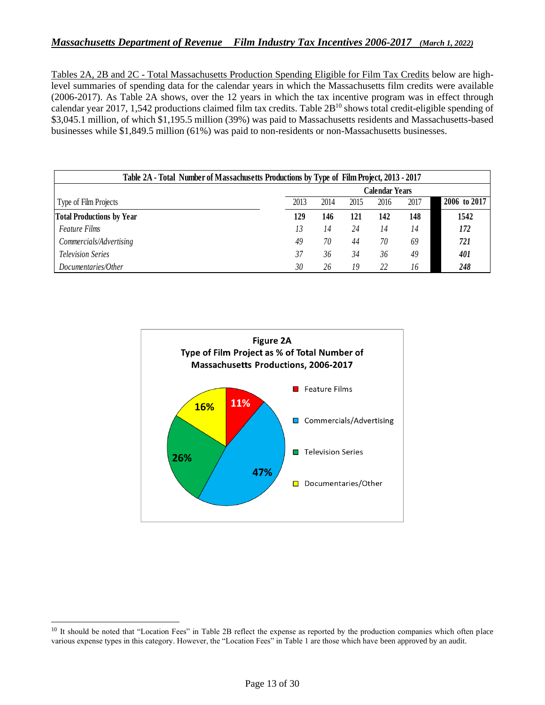Tables 2A, 2B and 2C - Total Massachusetts Production Spending Eligible for Film Tax Credits below are highlevel summaries of spending data for the calendar years in which the Massachusetts film credits were available (2006-2017). As Table 2A shows, over the 12 years in which the tax incentive program was in effect through calendar year 2017, 1,542 productions claimed film tax credits. Table 2B<sup>10</sup> shows total credit-eligible spending of \$3,045.1 million, of which \$1,195.5 million (39%) was paid to Massachusetts residents and Massachusetts-based businesses while \$1,849.5 million (61%) was paid to non-residents or non-Massachusetts businesses.

|                                  |      | Calendar Years |      |      |      |              |  |  |
|----------------------------------|------|----------------|------|------|------|--------------|--|--|
| Type of Film Projects            | 2013 | 2014           | 2015 | 2016 | 2017 | 2006 to 2017 |  |  |
| <b>Total Productions by Year</b> | 129  | 146            | 121  | 142  | 148  | 1542         |  |  |
| <i>Feature Films</i>             | 13   | 14             | 24   | 14   | 14   | 172          |  |  |
| Commercials/Advertising          | 49   | 70             | 44   | 70   | 69   | 721          |  |  |
| <b>Television Series</b>         | 37   | 36             | 34   | 36   | 49   | 401          |  |  |
| Documentaries/Other              | 30   | 26             | 19   | 22   | 16   | 248          |  |  |



<sup>&</sup>lt;sup>10</sup> It should be noted that "Location Fees" in Table 2B reflect the expense as reported by the production companies which often place various expense types in this category. However, the "Location Fees" in Table 1 are those which have been approved by an audit.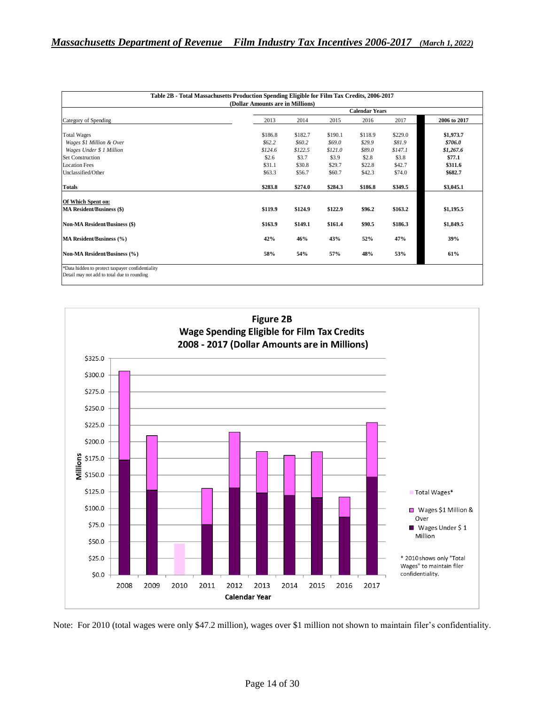| (Dollar Amounts are in Millions)     |                       |         |         |         |         |              |  |  |
|--------------------------------------|-----------------------|---------|---------|---------|---------|--------------|--|--|
|                                      | <b>Calendar Years</b> |         |         |         |         |              |  |  |
| Category of Spending                 | 2013                  | 2014    | 2015    | 2016    | 2017    | 2006 to 2017 |  |  |
| <b>Total Wages</b>                   | \$186.8               | \$182.7 | \$190.1 | \$118.9 | \$229.0 | \$1,973.7    |  |  |
| Wages \$1 Million & Over             | \$62.2\$              | \$60.2  | \$69.0  | \$29.9  | \$81.9  | \$706.0      |  |  |
| Wages Under \$ 1 Million             | \$124.6               | \$122.5 | \$121.0 | \$89.0  | \$147.1 | \$1,267.6    |  |  |
| <b>Set Construction</b>              | \$2.6                 | \$3.7   | \$3.9   | \$2.8   | \$3.8   | \$77.1       |  |  |
| <b>Location Fees</b>                 | \$31.1                | \$30.8  | \$29.7  | \$22.8  | \$42.7  | \$311.6      |  |  |
| Unclassified/Other                   | \$63.3                | \$56.7  | \$60.7  | \$42.3  | \$74.0  | \$682.7      |  |  |
| <b>Totals</b>                        | \$283.8               | \$274.0 | \$284.3 | \$186.8 | \$349.5 | \$3,045.1    |  |  |
| Of Which Spent on:                   |                       |         |         |         |         |              |  |  |
| <b>MA Resident/Business (\$)</b>     | \$119.9               | \$124.9 | \$122.9 | \$96.2  | \$163.2 | \$1,195.5    |  |  |
| <b>Non-MA Resident/Business (\$)</b> | \$163.9               | \$149.1 | \$161.4 | \$90.5  | \$186.3 | \$1,849.5    |  |  |
| MA Resident/Business (%)             | 42%                   | 46%     | 43%     | 52%     | 47%     | 39%          |  |  |
| Non-MA Resident/Business (%)         | 58%                   | 54%     | 57%     | 48%     | 53%     | 61%          |  |  |



Note: For 2010 (total wages were only \$47.2 million), wages over \$1 million not shown to maintain filer's confidentiality.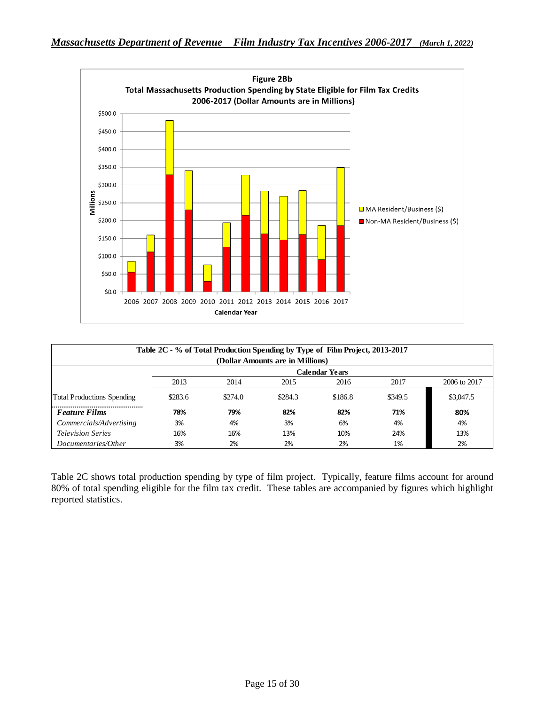

| Table 2C - % of Total Production Spending by Type of Film Project, 2013-2017 |                                                           |         |         |         |         |              |  |  |  |
|------------------------------------------------------------------------------|-----------------------------------------------------------|---------|---------|---------|---------|--------------|--|--|--|
|                                                                              | (Dollar Amounts are in Millions)<br><b>Calendar Years</b> |         |         |         |         |              |  |  |  |
|                                                                              | 2013                                                      | 2014    | 2015    | 2016    | 2017    | 2006 to 2017 |  |  |  |
| <b>Total Productions Spending</b>                                            | \$283.6                                                   | \$274.0 | \$284.3 | \$186.8 | \$349.5 | \$3,047.5    |  |  |  |
| <b>Feature Films</b>                                                         | 78%                                                       | 79%     | 82%     | 82%     | 71%     | 80%          |  |  |  |
| Commercials/Advertising                                                      | 3%                                                        | 4%      | 3%      | 6%      | 4%      | 4%           |  |  |  |
| <b>Television Series</b>                                                     | 16%                                                       | 16%     | 13%     | 10%     | 24%     | 13%          |  |  |  |
| Documentaries/Other                                                          | 3%                                                        | 2%      | 2%      | 2%      | 1%      | 2%           |  |  |  |

Table 2C shows total production spending by type of film project. Typically, feature films account for around 80% of total spending eligible for the film tax credit. These tables are accompanied by figures which highlight reported statistics.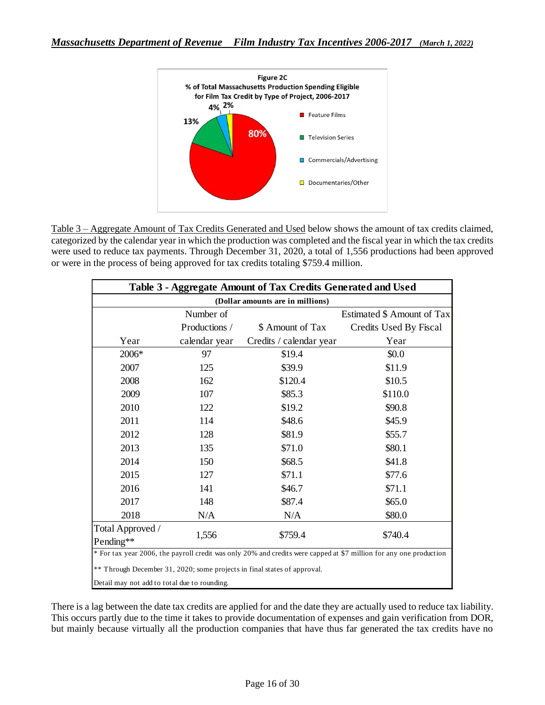

Table 3 – Aggregate Amount of Tax Credits Generated and Used below shows the amount of tax credits claimed, categorized by the calendar year in which the production was completed and the fiscal year in which the tax credits were used to reduce tax payments. Through December 31, 2020, a total of 1,556 productions had been approved or were in the process of being approved for tax credits totaling \$759.4 million.

| Table 3 - Aggregate Amount of Tax Credits Generated and Used |               |                                                                          |                                                                                                                    |  |  |  |  |
|--------------------------------------------------------------|---------------|--------------------------------------------------------------------------|--------------------------------------------------------------------------------------------------------------------|--|--|--|--|
|                                                              |               | (Dollar amounts are in millions)                                         |                                                                                                                    |  |  |  |  |
|                                                              | Number of     |                                                                          | Estimated \$ Amount of Tax                                                                                         |  |  |  |  |
|                                                              | Productions / | \$ Amount of Tax                                                         | Credits Used By Fiscal                                                                                             |  |  |  |  |
| Year                                                         | calendar year | Credits / calendar year                                                  | Year                                                                                                               |  |  |  |  |
| 2006*                                                        | 97            | \$19.4                                                                   | \$0.0                                                                                                              |  |  |  |  |
| 2007                                                         | 125           | \$39.9                                                                   | \$11.9                                                                                                             |  |  |  |  |
| 2008                                                         | 162           | \$120.4                                                                  | \$10.5                                                                                                             |  |  |  |  |
| 2009                                                         | 107           | \$85.3                                                                   | \$110.0                                                                                                            |  |  |  |  |
| 2010                                                         | 122           | \$19.2                                                                   | \$90.8                                                                                                             |  |  |  |  |
| 2011                                                         | 114           | \$48.6                                                                   | \$45.9                                                                                                             |  |  |  |  |
| 2012                                                         | 128           | \$81.9                                                                   | \$55.7                                                                                                             |  |  |  |  |
| 2013                                                         | 135           | \$71.0                                                                   | \$80.1                                                                                                             |  |  |  |  |
| 2014                                                         | 150           | \$68.5                                                                   | \$41.8                                                                                                             |  |  |  |  |
| 2015                                                         | 127           | \$71.1                                                                   | \$77.6                                                                                                             |  |  |  |  |
| 2016                                                         | 141           | \$46.7                                                                   | \$71.1                                                                                                             |  |  |  |  |
| 2017                                                         | 148           | \$87.4                                                                   | \$65.0                                                                                                             |  |  |  |  |
| 2018                                                         | N/A           | N/A                                                                      | \$80.0                                                                                                             |  |  |  |  |
| Total Approved /                                             |               |                                                                          |                                                                                                                    |  |  |  |  |
| Pending**                                                    | 1,556         | \$759.4                                                                  | \$740.4                                                                                                            |  |  |  |  |
|                                                              |               |                                                                          | * For tax year 2006, the payroll credit was only 20% and credits were capped at \$7 million for any one production |  |  |  |  |
|                                                              |               | ** Through December 31, 2020; some projects in final states of approval. |                                                                                                                    |  |  |  |  |
| Detail may not add to total due to rounding.                 |               |                                                                          |                                                                                                                    |  |  |  |  |

There is a lag between the date tax credits are applied for and the date they are actually used to reduce tax liability. This occurs partly due to the time it takes to provide documentation of expenses and gain verification from DOR, but mainly because virtually all the production companies that have thus far generated the tax credits have no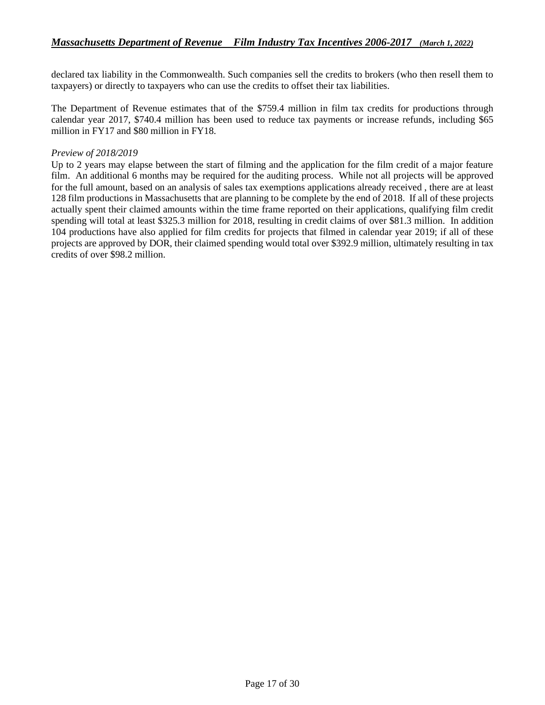declared tax liability in the Commonwealth. Such companies sell the credits to brokers (who then resell them to taxpayers) or directly to taxpayers who can use the credits to offset their tax liabilities.

The Department of Revenue estimates that of the \$759.4 million in film tax credits for productions through calendar year 2017, \$740.4 million has been used to reduce tax payments or increase refunds, including \$65 million in FY17 and \$80 million in FY18.

#### *Preview of 2018/2019*

Up to 2 years may elapse between the start of filming and the application for the film credit of a major feature film. An additional 6 months may be required for the auditing process. While not all projects will be approved for the full amount, based on an analysis of sales tax exemptions applications already received , there are at least 128 film productions in Massachusetts that are planning to be complete by the end of 2018. If all of these projects actually spent their claimed amounts within the time frame reported on their applications, qualifying film credit spending will total at least \$325.3 million for 2018, resulting in credit claims of over \$81.3 million. In addition 104 productions have also applied for film credits for projects that filmed in calendar year 2019; if all of these projects are approved by DOR, their claimed spending would total over \$392.9 million, ultimately resulting in tax credits of over \$98.2 million.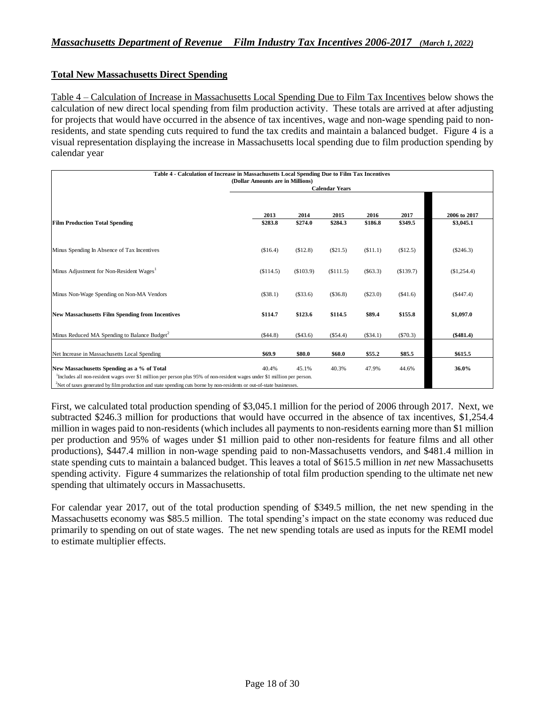#### **Total New Massachusetts Direct Spending**

Table 4 – Calculation of Increase in Massachusetts Local Spending Due to Film Tax Incentives below shows the calculation of new direct local spending from film production activity. These totals are arrived at after adjusting for projects that would have occurred in the absence of tax incentives, wage and non-wage spending paid to nonresidents, and state spending cuts required to fund the tax credits and maintain a balanced budget. Figure 4 is a visual representation displaying the increase in Massachusetts local spending due to film production spending by calendar year

| Table 4 - Calculation of Increase in Massachusetts Local Spending Due to Film Tax Incentives<br>(Dollar Amounts are in Millions)      |                       |           |                 |          |           |              |  |  |
|---------------------------------------------------------------------------------------------------------------------------------------|-----------------------|-----------|-----------------|----------|-----------|--------------|--|--|
|                                                                                                                                       | <b>Calendar Years</b> |           |                 |          |           |              |  |  |
|                                                                                                                                       |                       |           |                 |          |           |              |  |  |
|                                                                                                                                       | 2013                  | 2014      |                 | 2016     | 2017      | 2006 to 2017 |  |  |
| <b>Film Production Total Spending</b>                                                                                                 | \$283.8               | \$274.0   | 2015<br>\$284.3 | \$186.8  | \$349.5   | \$3,045.1    |  |  |
|                                                                                                                                       |                       |           |                 |          |           |              |  |  |
|                                                                                                                                       |                       |           |                 |          |           |              |  |  |
| Minus Spending In Absence of Tax Incentives                                                                                           | (\$16.4)              | (\$12.8)  | $(\$21.5)$      | (S11.1)  | (\$12.5)  | (S246.3)     |  |  |
| Minus Adjustment for Non-Resident Wages <sup>1</sup>                                                                                  | (S114.5)              | (\$103.9) | (S111.5)        | (S63.3)  | (\$139.7) | (\$1,254.4)  |  |  |
|                                                                                                                                       |                       |           |                 |          |           |              |  |  |
| Minus Non-Wage Spending on Non-MA Vendors                                                                                             | (\$38.1)              | (\$33.6)  | (\$36.8)        | (\$23.0) | (\$41.6)  | (\$447.4)    |  |  |
|                                                                                                                                       |                       |           |                 |          |           |              |  |  |
| <b>New Massachusetts Film Spending from Incentives</b>                                                                                | \$114.7               | \$123.6   | \$114.5         | \$89.4   | \$155.8   | \$1,097.0    |  |  |
|                                                                                                                                       |                       |           |                 |          |           |              |  |  |
| Minus Reduced MA Spending to Balance Budget <sup>2</sup>                                                                              | (\$44.8)              | (\$43.6)  | (\$54.4)        | (\$34.1) | (S70.3)   | $(\$481.4)$  |  |  |
| Net Increase in Massachusetts Local Spending                                                                                          | \$69.9                | \$80.0    | \$60.0          | \$55.2   | \$85.5    | \$615.5      |  |  |
| New Massachusetts Spending as a % of Total                                                                                            | 40.4%                 | 45.1%     | 40.3%           | 47.9%    | 44.6%     | 36.0%        |  |  |
| <sup>1</sup> Includes all non-resident wages over \$1 million per person plus 95% of non-resident wages under \$1 million per person. |                       |           |                 |          |           |              |  |  |
| $^{2}$ Net of taxes generated by film production and state spending cuts borne by non-residents or out-of-state businesses            |                       |           |                 |          |           |              |  |  |

<sup>2</sup>Net of taxes generated by film production and state spending cuts borne by non-residents or out-of-state businesses.

First, we calculated total production spending of \$3,045.1 million for the period of 2006 through 2017. Next, we subtracted \$246.3 million for productions that would have occurred in the absence of tax incentives, \$1,254.4 million in wages paid to non-residents (which includes all payments to non-residents earning more than \$1 million per production and 95% of wages under \$1 million paid to other non-residents for feature films and all other productions), \$447.4 million in non-wage spending paid to non-Massachusetts vendors, and \$481.4 million in state spending cuts to maintain a balanced budget. This leaves a total of \$615.5 million in *net* new Massachusetts spending activity. Figure 4 summarizes the relationship of total film production spending to the ultimate net new spending that ultimately occurs in Massachusetts.

For calendar year 2017, out of the total production spending of \$349.5 million, the net new spending in the Massachusetts economy was \$85.5 million. The total spending's impact on the state economy was reduced due primarily to spending on out of state wages. The net new spending totals are used as inputs for the REMI model to estimate multiplier effects.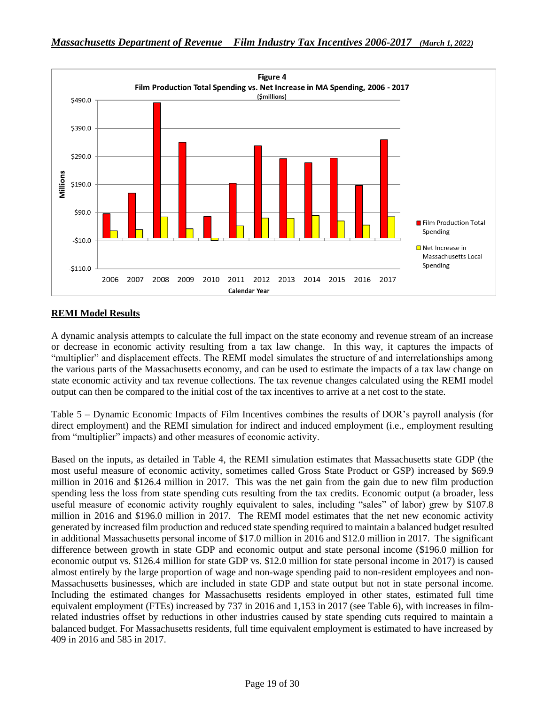

## **REMI Model Results**

A dynamic analysis attempts to calculate the full impact on the state economy and revenue stream of an increase or decrease in economic activity resulting from a tax law change. In this way, it captures the impacts of "multiplier" and displacement effects. The REMI model simulates the structure of and interrelationships among the various parts of the Massachusetts economy, and can be used to estimate the impacts of a tax law change on state economic activity and tax revenue collections. The tax revenue changes calculated using the REMI model output can then be compared to the initial cost of the tax incentives to arrive at a net cost to the state.

Table 5 – Dynamic Economic Impacts of Film Incentives combines the results of DOR's payroll analysis (for direct employment) and the REMI simulation for indirect and induced employment (i.e., employment resulting from "multiplier" impacts) and other measures of economic activity.

Based on the inputs, as detailed in Table 4, the REMI simulation estimates that Massachusetts state GDP (the most useful measure of economic activity, sometimes called Gross State Product or GSP) increased by \$69.9 million in 2016 and \$126.4 million in 2017. This was the net gain from the gain due to new film production spending less the loss from state spending cuts resulting from the tax credits. Economic output (a broader, less useful measure of economic activity roughly equivalent to sales, including "sales" of labor) grew by \$107.8 million in 2016 and \$196.0 million in 2017. The REMI model estimates that the net new economic activity generated by increased film production and reduced state spending required to maintain a balanced budget resulted in additional Massachusetts personal income of \$17.0 million in 2016 and \$12.0 million in 2017. The significant difference between growth in state GDP and economic output and state personal income (\$196.0 million for economic output vs. \$126.4 million for state GDP vs. \$12.0 million for state personal income in 2017) is caused almost entirely by the large proportion of wage and non-wage spending paid to non-resident employees and non-Massachusetts businesses, which are included in state GDP and state output but not in state personal income. Including the estimated changes for Massachusetts residents employed in other states, estimated full time equivalent employment (FTEs) increased by 737 in 2016 and 1,153 in 2017 (see Table 6), with increases in filmrelated industries offset by reductions in other industries caused by state spending cuts required to maintain a balanced budget. For Massachusetts residents, full time equivalent employment is estimated to have increased by 409 in 2016 and 585 in 2017.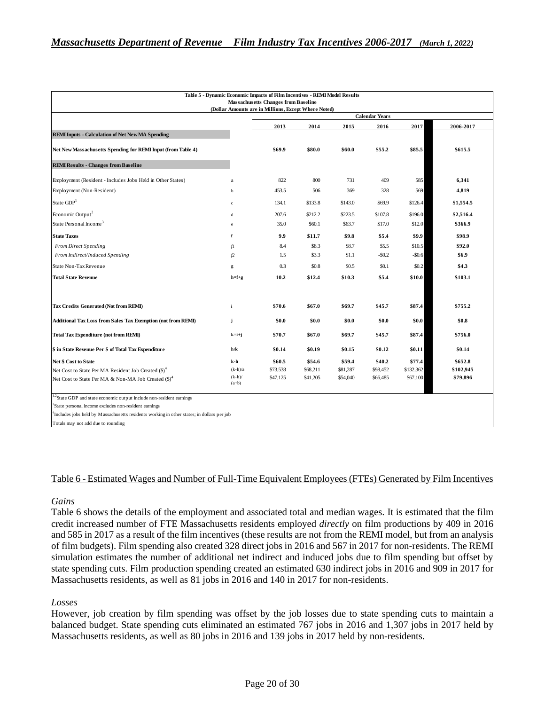|                                                                 |                    | (Dollar Amounts are in Millions, Except Where Noted)<br><b>Calendar Years</b> |          |          |           |           |           |  |
|-----------------------------------------------------------------|--------------------|-------------------------------------------------------------------------------|----------|----------|-----------|-----------|-----------|--|
|                                                                 |                    | 2013                                                                          | 2014     | 2015     | 2016      | 2017      | 2006-2017 |  |
| <b>REMI Inputs - Calculation of Net New MA Spending</b>         |                    |                                                                               |          |          |           |           |           |  |
| Net New Massachusetts Spending for REMI Input (from Table 4)    |                    | \$69.9                                                                        | \$80.0   | \$60.0   | \$55.2    | \$85.5    | \$615.5   |  |
| <b>REMI Results - Changes from Baseline</b>                     |                    |                                                                               |          |          |           |           |           |  |
| Employment (Resident - Includes Jobs Held in Other States)      | a                  | 822                                                                           | 800      | 731      | 409       | 585       | 6,341     |  |
| Employment (Non-Resident)                                       | $\mathbf b$        | 453.5                                                                         | 506      | 369      | 328       | 569       | 4,819     |  |
| State GDP <sup>1</sup>                                          | $\mathbf{c}$       | 134.1                                                                         | \$133.8  | \$143.0  | \$69.9    | \$126.4   | \$1,554.5 |  |
| Economic Output <sup>2</sup>                                    | d                  | 207.6                                                                         | \$212.2  | \$223.5  | \$107.8   | \$196.0   | \$2,516.4 |  |
| State Personal Income <sup>3</sup>                              | $\mathbf{e}$       | 35.0                                                                          | \$60.1   | \$63.7   | \$17.0    | \$12.0    | \$366.9   |  |
| <b>State Taxes</b>                                              | f                  | 9.9                                                                           | \$11.7   | \$9.8    | \$5.4     | \$9.9     | \$98.9    |  |
| <b>From Direct Spending</b>                                     | fI                 | 8.4                                                                           | \$8.3    | \$8.7    | \$5.5     | \$10.5    | \$92.0    |  |
| From Indirect/Induced Spending                                  | f2                 | 1.5                                                                           | \$3.3    | \$1.1    | $-$ \$0.2 | $-$ \$0.6 | \$6.9     |  |
| State Non-Tax Revenue                                           | g                  | 0.3                                                                           | \$0.8    | \$0.5    | \$0.1     | \$0.2     | \$4.3     |  |
| <b>Total State Revenue</b>                                      | $h = f + g$        | 10.2                                                                          | \$12.4   | \$10.3   | \$5.4     | \$10.0    | \$103.1   |  |
| <b>Tax Credits Generated (Not from REMI)</b>                    | i                  | \$70.6                                                                        | \$67.0   | \$69.7   | \$45.7    | \$87.4    | \$755.2   |  |
| Additional Tax Loss from Sales Tax Exemption (not from REMI)    | j                  | \$0.0                                                                         | \$0.0    | \$0.0    | \$0.0     | \$0.0     | \$0.8     |  |
| <b>Total Tax Expenditure (not from REMI)</b>                    | $k = i + j$        | \$70.7                                                                        | \$67.0   | \$69.7   | \$45.7    | \$87.4    | \$756.0   |  |
| \$ in State Revenue Per \$ of Total Tax Expenditure             | h/k                | \$0.14                                                                        | \$0.19   | \$0.15   | \$0.12    | \$0.11    | \$0.14    |  |
| <b>Net \$ Cost to State</b>                                     | k-h                | \$60.5                                                                        | \$54.6   | \$59.4   | \$40.2    | \$77.4    | \$652.8   |  |
| Net Cost to State Per MA Resident Job Created (\$) <sup>4</sup> | $(k-h)/a$          | \$73,538                                                                      | \$68,211 | \$81,287 | \$98,452  | \$132,362 | \$102,945 |  |
| Net Cost to State Per MA & Non-MA Job Created (\$) <sup>4</sup> | $(k-h)$<br>$(a+b)$ | \$47,125                                                                      | \$41,205 | \$54,040 | \$66,485  | \$67,100  | \$79,896  |  |

4 Includes jobs held by Massachusetts residents working in other states; in dollars per job

Totals may not add due to rounding

#### Table 6 - Estimated Wages and Number of Full-Time Equivalent Employees (FTEs) Generated by Film Incentives

#### *Gains*

Table 6 shows the details of the employment and associated total and median wages. It is estimated that the film credit increased number of FTE Massachusetts residents employed *directly* on film productions by 409 in 2016 and 585 in 2017 as a result of the film incentives (these results are not from the REMI model, but from an analysis of film budgets). Film spending also created 328 direct jobs in 2016 and 567 in 2017 for non-residents. The REMI simulation estimates the number of additional net indirect and induced jobs due to film spending but offset by state spending cuts. Film production spending created an estimated 630 indirect jobs in 2016 and 909 in 2017 for Massachusetts residents, as well as 81 jobs in 2016 and 140 in 2017 for non-residents.

#### *Losses*

However, job creation by film spending was offset by the job losses due to state spending cuts to maintain a balanced budget. State spending cuts eliminated an estimated 767 jobs in 2016 and 1,307 jobs in 2017 held by Massachusetts residents, as well as 80 jobs in 2016 and 139 jobs in 2017 held by non-residents.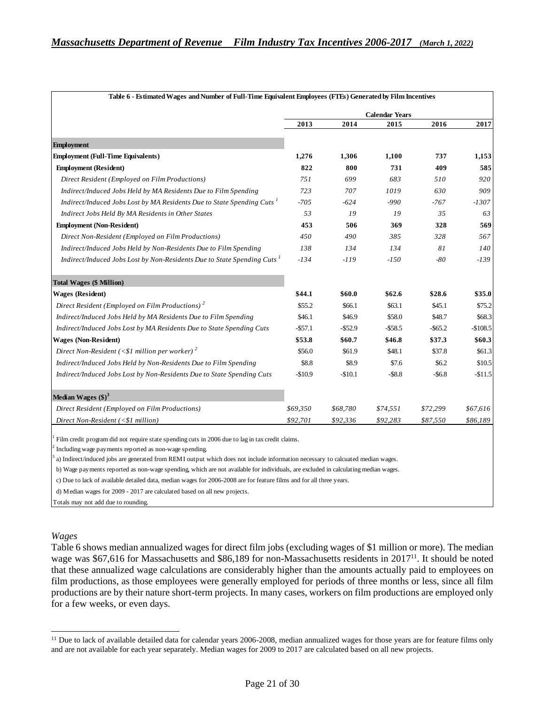|                                                                                                  | <b>Calendar Years</b> |            |           |            |           |  |  |
|--------------------------------------------------------------------------------------------------|-----------------------|------------|-----------|------------|-----------|--|--|
|                                                                                                  | 2013                  | 2014       | 2015      | 2016       | 2017      |  |  |
| <b>Employment</b>                                                                                |                       |            |           |            |           |  |  |
| <b>Employment (Full-Time Equivalents)</b>                                                        | 1,276                 | 1,306      | 1,100     | 737        | 1,153     |  |  |
| <b>Employment (Resident)</b>                                                                     | 822                   | 800        | 731       | 409        | 585       |  |  |
| Direct Resident (Employed on Film Productions)                                                   | 751                   | 699        | 683       | 510        | 920       |  |  |
| Indirect/Induced Jobs Held by MA Residents Due to Film Spending                                  | 723                   | 707        | 1019      | 630        | 909       |  |  |
| Indirect/Induced Jobs Lost by MA Residents Due to State Spending Cuts <sup>1</sup>               | $-705$                | -624       | -990      | $-767$     | $-1307$   |  |  |
| Indirect Jobs Held By MA Residents in Other States                                               | 53                    | 19         | 19        | 35         | 63        |  |  |
| <b>Employment (Non-Resident)</b>                                                                 | 453                   | 506        | 369       | 328        | 569       |  |  |
| Direct Non-Resident (Employed on Film Productions)                                               | 450                   | 490        | 385       | 328        | 567       |  |  |
| Indirect/Induced Jobs Held by Non-Residents Due to Film Spending                                 | 138                   | 134        | 134       | 81         | 140       |  |  |
| Indirect/Induced Jobs Lost by Non-Residents Due to State Spending Cuts <sup>1</sup>              | $-134$                | $-119$     | $-150$    | $-80$      | $-139$    |  |  |
| <b>Total Wages (\$ Million)</b>                                                                  |                       |            |           |            |           |  |  |
| <b>Wages (Resident)</b>                                                                          | \$44.1                | \$60.0     | \$62.6    | \$28.6     | \$35.0    |  |  |
| Direct Resident (Employed on Film Productions) <sup>2</sup>                                      | \$55.2                | \$66.1     | \$63.1    | \$45.1     | \$75.2    |  |  |
| Indirect/Induced Jobs Held by MA Residents Due to Film Spending                                  | \$46.1                | \$46.9     | \$58.0    | \$48.7     | \$68.3    |  |  |
| Indirect/Induced Jobs Lost by MA Residents Due to State Spending Cuts                            | $-$ \$57.1            | $-$ \$52.9 | $-558.5$  | $-$ \$65.2 | $-$108.5$ |  |  |
| <b>Wages (Non-Resident)</b>                                                                      | \$53.8                | \$60.7     | \$46.8    | \$37.3     | \$60.3    |  |  |
| Direct Non-Resident (<\$1 million per worker) <sup>2</sup>                                       | \$56.0                | \$61.9     | \$48.1    | \$37.8     | \$61.3    |  |  |
| Indirect/Induced Jobs Held by Non-Residents Due to Film Spending                                 | \$8.8                 | \$8.9      | \$7.6     | \$6.2      | \$10.5    |  |  |
| Indirect/Induced Jobs Lost by Non-Residents Due to State Spending Cuts                           | $-$10.9$              | $-$10.1$   | $-$ \$8.8 | $-$ \$6.8  | $-$11.5$  |  |  |
| Median Wages $(\text{$\$})^3$                                                                    |                       |            |           |            |           |  |  |
| Direct Resident (Employed on Film Productions)                                                   | \$69,350              | \$68,780   | \$74,551  | \$72,299   | \$67,616  |  |  |
| Direct Non-Resident (<\$1 million)                                                               | \$92,701              | \$92,336   | \$92,283  | \$87,550   | \$86,189  |  |  |
|                                                                                                  |                       |            |           |            |           |  |  |
| Film credit program did not require state spending cuts in 2006 due to lag in tax credit claims. |                       |            |           |            |           |  |  |

c) Due to lack of available detailed data, median wages for 2006-2008 are for feature films and for all three years.

d) Median wages for 2009 - 2017 are calculated based on all new projects.

Totals may not add due to rounding.

#### *Wages*

Table 6 shows median annualized wages for direct film jobs (excluding wages of \$1 million or more). The median wage was \$67,616 for Massachusetts and \$86,189 for non-Massachusetts residents in 2017<sup>11</sup>. It should be noted that these annualized wage calculations are considerably higher than the amounts actually paid to employees on film productions, as those employees were generally employed for periods of three months or less, since all film productions are by their nature short-term projects. In many cases, workers on film productions are employed only for a few weeks, or even days.

<sup>&</sup>lt;sup>11</sup> Due to lack of available detailed data for calendar years 2006-2008, median annualized wages for those years are for feature films only and are not available for each year separately. Median wages for 2009 to 2017 are calculated based on all new projects.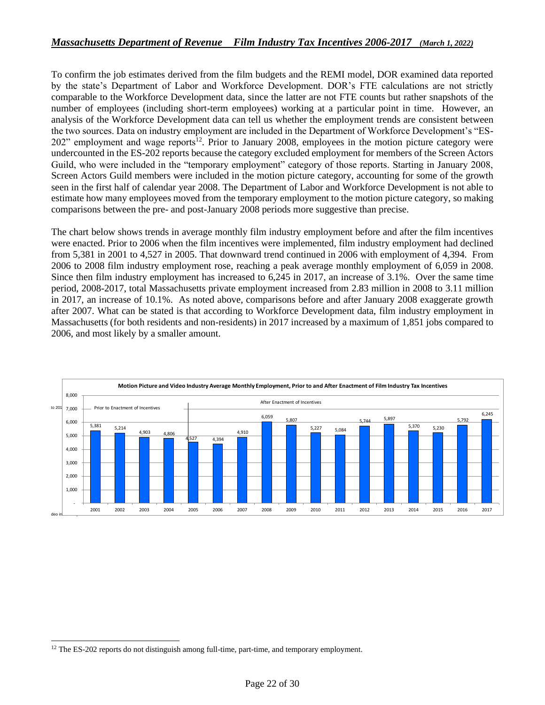To confirm the job estimates derived from the film budgets and the REMI model, DOR examined data reported by the state's Department of Labor and Workforce Development. DOR's FTE calculations are not strictly comparable to the Workforce Development data, since the latter are not FTE counts but rather snapshots of the number of employees (including short-term employees) working at a particular point in time. However, an analysis of the Workforce Development data can tell us whether the employment trends are consistent between the two sources. Data on industry employment are included in the Department of Workforce Development's "ES-202" employment and wage reports<sup>12</sup>. Prior to January 2008, employees in the motion picture category were undercounted in the ES-202 reports because the category excluded employment for members of the Screen Actors Guild, who were included in the "temporary employment" category of those reports. Starting in January 2008, Screen Actors Guild members were included in the motion picture category, accounting for some of the growth seen in the first half of calendar year 2008. The Department of Labor and Workforce Development is not able to estimate how many employees moved from the temporary employment to the motion picture category, so making comparisons between the pre- and post-January 2008 periods more suggestive than precise.

The chart below shows trends in average monthly film industry employment before and after the film incentives were enacted. Prior to 2006 when the film incentives were implemented, film industry employment had declined from 5,381 in 2001 to 4,527 in 2005. That downward trend continued in 2006 with employment of 4,394. From 2006 to 2008 film industry employment rose, reaching a peak average monthly employment of 6,059 in 2008. Since then film industry employment has increased to 6,245 in 2017, an increase of 3.1%. Over the same time period, 2008-2017, total Massachusetts private employment increased from 2.83 million in 2008 to 3.11 million in 2017, an increase of 10.1%. As noted above, comparisons before and after January 2008 exaggerate growth after 2007. What can be stated is that according to Workforce Development data, film industry employment in Massachusetts (for both residents and non-residents) in 2017 increased by a maximum of 1,851 jobs compared to 2006, and most likely by a smaller amount.



<sup>&</sup>lt;sup>12</sup> The ES-202 reports do not distinguish among full-time, part-time, and temporary employment.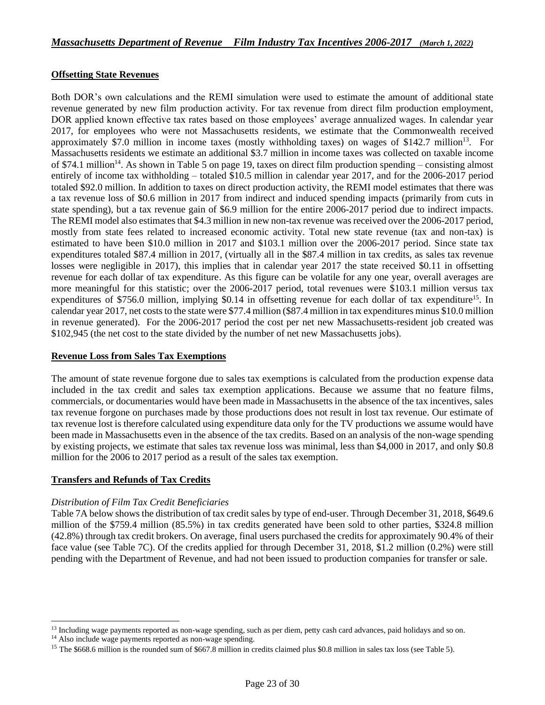#### **Offsetting State Revenues**

Both DOR's own calculations and the REMI simulation were used to estimate the amount of additional state revenue generated by new film production activity. For tax revenue from direct film production employment, DOR applied known effective tax rates based on those employees' average annualized wages. In calendar year 2017, for employees who were not Massachusetts residents, we estimate that the Commonwealth received approximately \$7.0 million in income taxes (mostly withholding taxes) on wages of \$142.7 million<sup>13</sup>. For Massachusetts residents we estimate an additional \$3.7 million in income taxes was collected on taxable income of \$74.1 million<sup>14</sup>. As shown in Table 5 on page 19, taxes on direct film production spending – consisting almost entirely of income tax withholding – totaled \$10.5 million in calendar year 2017, and for the 2006-2017 period totaled \$92.0 million. In addition to taxes on direct production activity, the REMI model estimates that there was a tax revenue loss of \$0.6 million in 2017 from indirect and induced spending impacts (primarily from cuts in state spending), but a tax revenue gain of \$6.9 million for the entire 2006-2017 period due to indirect impacts. The REMI model also estimates that \$4.3 million in new non-tax revenue was received over the 2006-2017 period, mostly from state fees related to increased economic activity. Total new state revenue (tax and non-tax) is estimated to have been \$10.0 million in 2017 and \$103.1 million over the 2006-2017 period. Since state tax expenditures totaled \$87.4 million in 2017, (virtually all in the \$87.4 million in tax credits, as sales tax revenue losses were negligible in 2017), this implies that in calendar year 2017 the state received \$0.11 in offsetting revenue for each dollar of tax expenditure. As this figure can be volatile for any one year, overall averages are more meaningful for this statistic; over the 2006-2017 period, total revenues were \$103.1 million versus tax expenditures of \$756.0 million, implying \$0.14 in offsetting revenue for each dollar of tax expenditure<sup>15</sup>. In calendar year 2017, net costs to the state were \$77.4 million (\$87.4 million in tax expenditures minus \$10.0 million in revenue generated). For the 2006-2017 period the cost per net new Massachusetts-resident job created was \$102,945 (the net cost to the state divided by the number of net new Massachusetts jobs).

#### **Revenue Loss from Sales Tax Exemptions**

The amount of state revenue forgone due to sales tax exemptions is calculated from the production expense data included in the tax credit and sales tax exemption applications. Because we assume that no feature films, commercials, or documentaries would have been made in Massachusetts in the absence of the tax incentives, sales tax revenue forgone on purchases made by those productions does not result in lost tax revenue. Our estimate of tax revenue lost is therefore calculated using expenditure data only for the TV productions we assume would have been made in Massachusetts even in the absence of the tax credits. Based on an analysis of the non-wage spending by existing projects, we estimate that sales tax revenue loss was minimal, less than \$4,000 in 2017, and only \$0.8 million for the 2006 to 2017 period as a result of the sales tax exemption.

#### **Transfers and Refunds of Tax Credits**

#### *Distribution of Film Tax Credit Beneficiaries*

Table 7A below shows the distribution of tax credit sales by type of end-user. Through December 31, 2018, \$649.6 million of the \$759.4 million (85.5%) in tax credits generated have been sold to other parties, \$324.8 million (42.8%) through tax credit brokers. On average, final users purchased the credits for approximately 90.4% of their face value (see Table 7C). Of the credits applied for through December 31, 2018, \$1.2 million (0.2%) were still pending with the Department of Revenue, and had not been issued to production companies for transfer or sale.

<sup>&</sup>lt;sup>13</sup> Including wage payments reported as non-wage spending, such as per diem, petty cash card advances, paid holidays and so on.

<sup>&</sup>lt;sup>14</sup> Also include wage payments reported as non-wage spending.

<sup>&</sup>lt;sup>15</sup> The \$668.6 million is the rounded sum of \$667.8 million in credits claimed plus \$0.8 million in sales tax loss (see Table 5).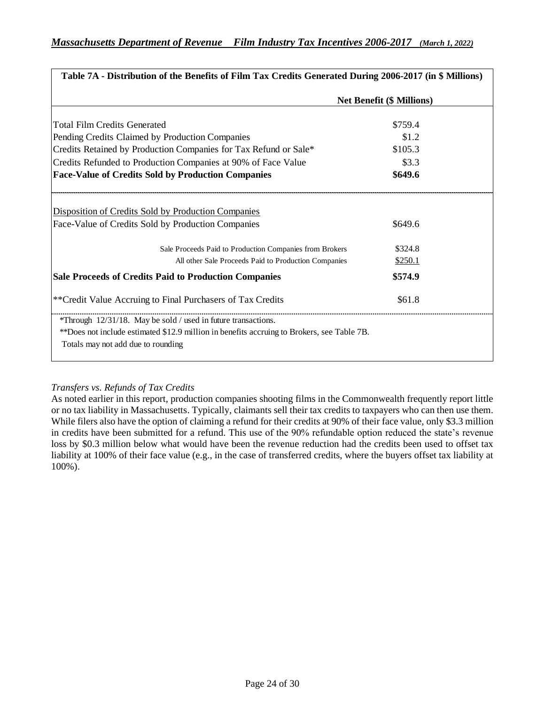| Table 7A - Distribution of the Benefits of Film Tax Credits Generated During 2006-2017 (in \$ Millions) |                                  |
|---------------------------------------------------------------------------------------------------------|----------------------------------|
|                                                                                                         | <b>Net Benefit (\$ Millions)</b> |
| <b>Total Film Credits Generated</b>                                                                     | \$759.4                          |
| Pending Credits Claimed by Production Companies                                                         | \$1.2                            |
| Credits Retained by Production Companies for Tax Refund or Sale*                                        | \$105.3                          |
| Credits Refunded to Production Companies at 90% of Face Value                                           | \$3.3                            |
| <b>Face-Value of Credits Sold by Production Companies</b>                                               | \$649.6                          |
| <b>Disposition of Credits Sold by Production Companies</b>                                              |                                  |
| Face-Value of Credits Sold by Production Companies                                                      | \$649.6                          |
| Sale Proceeds Paid to Production Companies from Brokers                                                 | \$324.8                          |
| All other Sale Proceeds Paid to Production Companies                                                    | \$250.1                          |
| <b>Sale Proceeds of Credits Paid to Production Companies</b>                                            | \$574.9                          |
| ** Credit Value Accruing to Final Purchasers of Tax Credits                                             | \$61.8                           |
| *Through 12/31/18. May be sold / used in future transactions.                                           |                                  |
| **Does not include estimated \$12.9 million in benefits accruing to Brokers, see Table 7B.              |                                  |
| Totals may not add due to rounding                                                                      |                                  |

## *Transfers vs. Refunds of Tax Credits*

As noted earlier in this report, production companies shooting films in the Commonwealth frequently report little or no tax liability in Massachusetts. Typically, claimants sell their tax credits to taxpayers who can then use them. While filers also have the option of claiming a refund for their credits at 90% of their face value, only \$3.3 million in credits have been submitted for a refund. This use of the 90% refundable option reduced the state's revenue loss by \$0.3 million below what would have been the revenue reduction had the credits been used to offset tax liability at 100% of their face value (e.g., in the case of transferred credits, where the buyers offset tax liability at 100%).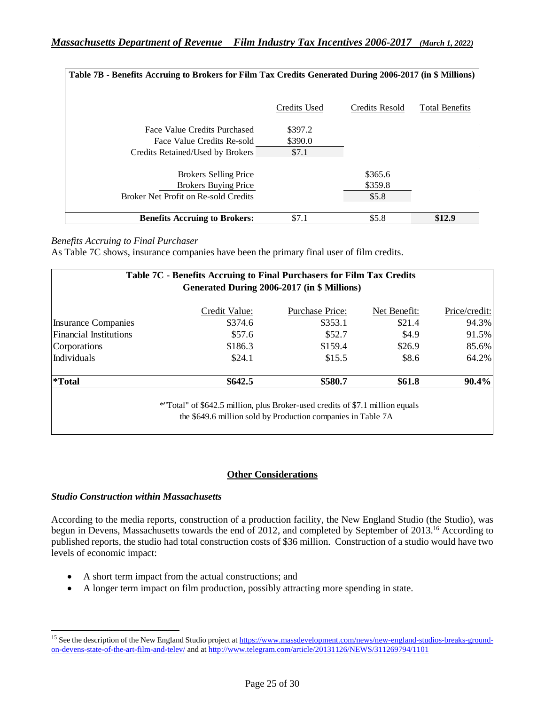| Table 7B - Benefits Accruing to Brokers for Film Tax Credits Generated During 2006-2017 (in \$ Millions)   |                             |                               |                       |
|------------------------------------------------------------------------------------------------------------|-----------------------------|-------------------------------|-----------------------|
|                                                                                                            | Credits Used                | Credits Resold                | <b>Total Benefits</b> |
| Face Value Credits Purchased<br>Face Value Credits Re-sold<br>Credits Retained/Used by Brokers             | \$397.2<br>\$390.0<br>\$7.1 |                               |                       |
| <b>Brokers Selling Price</b><br><b>Brokers Buying Price</b><br><b>Broker Net Profit on Re-sold Credits</b> |                             | \$365.6<br>\$359.8<br>\$5.8\$ |                       |
| <b>Benefits Accruing to Brokers:</b>                                                                       | \$7.1                       | \$5.8                         | \$12.9                |

#### *Benefits Accruing to Final Purchaser*

As Table 7C shows, insurance companies have been the primary final user of film credits.

| Table 7C - Benefits Accruing to Final Purchasers for Film Tax Credits<br>Generated During 2006-2017 (in \$ Millions) |                                                                                                                                               |                 |              |               |  |  |  |  |
|----------------------------------------------------------------------------------------------------------------------|-----------------------------------------------------------------------------------------------------------------------------------------------|-----------------|--------------|---------------|--|--|--|--|
|                                                                                                                      | Credit Value:                                                                                                                                 | Purchase Price: | Net Benefit: | Price/credit: |  |  |  |  |
| <b>Insurance Companies</b>                                                                                           | \$374.6                                                                                                                                       | \$353.1         | \$21.4       | 94.3%         |  |  |  |  |
| <b>Financial Institutions</b>                                                                                        | \$57.6                                                                                                                                        | \$52.7          | \$4.9        | 91.5%         |  |  |  |  |
| Corporations                                                                                                         | \$186.3                                                                                                                                       | \$159.4         | \$26.9       | 85.6%         |  |  |  |  |
| Individuals                                                                                                          | \$24.1                                                                                                                                        | \$15.5          | \$8.6        | 64.2%         |  |  |  |  |
| <i>*Total</i>                                                                                                        | \$642.5                                                                                                                                       | \$580.7         | \$61.8       | $90.4\%$      |  |  |  |  |
|                                                                                                                      | *"Total" of \$642.5 million, plus Broker-used credits of \$7.1 million equals<br>the \$649.6 million sold by Production companies in Table 7A |                 |              |               |  |  |  |  |

## **Other Considerations**

#### *Studio Construction within Massachusetts*

According to the media reports, construction of a production facility, the New England Studio (the Studio), was begun in Devens, Massachusetts towards the end of 2012, and completed by September of 2013.<sup>16</sup> According to published reports, the studio had total construction costs of \$36 million. Construction of a studio would have two levels of economic impact:

- A short term impact from the actual constructions; and
- A longer term impact on film production, possibly attracting more spending in state.

<sup>&</sup>lt;sup>15</sup> See the description of the New England Studio project a[t https://www.massdevelopment.com/news/new-england-studios-breaks-ground](https://www.massdevelopment.com/news/new-england-studios-breaks-ground-on-devens-state-of-the-art-film-and-telev/)[on-devens-state-of-the-art-film-and-telev/](https://www.massdevelopment.com/news/new-england-studios-breaks-ground-on-devens-state-of-the-art-film-and-telev/) and a[t http://www.telegram.com/article/20131126/NEWS/311269794/1101](http://www.telegram.com/article/20131126/NEWS/311269794/1101)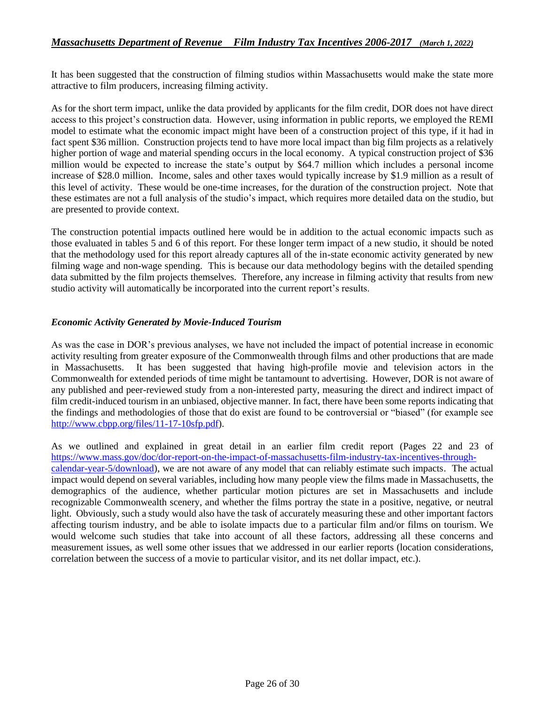It has been suggested that the construction of filming studios within Massachusetts would make the state more attractive to film producers, increasing filming activity.

As for the short term impact, unlike the data provided by applicants for the film credit, DOR does not have direct access to this project's construction data. However, using information in public reports, we employed the REMI model to estimate what the economic impact might have been of a construction project of this type, if it had in fact spent \$36 million. Construction projects tend to have more local impact than big film projects as a relatively higher portion of wage and material spending occurs in the local economy. A typical construction project of \$36 million would be expected to increase the state's output by \$64.7 million which includes a personal income increase of \$28.0 million. Income, sales and other taxes would typically increase by \$1.9 million as a result of this level of activity. These would be one-time increases, for the duration of the construction project. Note that these estimates are not a full analysis of the studio's impact, which requires more detailed data on the studio, but are presented to provide context.

The construction potential impacts outlined here would be in addition to the actual economic impacts such as those evaluated in tables 5 and 6 of this report. For these longer term impact of a new studio, it should be noted that the methodology used for this report already captures all of the in-state economic activity generated by new filming wage and non-wage spending. This is because our data methodology begins with the detailed spending data submitted by the film projects themselves. Therefore, any increase in filming activity that results from new studio activity will automatically be incorporated into the current report's results.

#### *Economic Activity Generated by Movie-Induced Tourism*

As was the case in DOR's previous analyses, we have not included the impact of potential increase in economic activity resulting from greater exposure of the Commonwealth through films and other productions that are made in Massachusetts. It has been suggested that having high-profile movie and television actors in the Commonwealth for extended periods of time might be tantamount to advertising. However, DOR is not aware of any published and peer-reviewed study from a non-interested party, measuring the direct and indirect impact of film credit-induced tourism in an unbiased, objective manner. In fact, there have been some reports indicating that the findings and methodologies of those that do exist are found to be controversial or "biased" (for example see [http://www.cbpp.org/files/11-17-10sfp.pdf\)](http://www.cbpp.org/files/11-17-10sfp.pdf).

As we outlined and explained in great detail in an earlier film credit report (Pages 22 and 23 of [https://www.mass.gov/doc/dor-report-on-the-impact-of-massachusetts-film-industry-tax-incentives-through](https://www.mass.gov/doc/dor-report-on-the-impact-of-massachusetts-film-industry-tax-incentives-through-calendar-year-5/download)[calendar-year-5/download\)](https://www.mass.gov/doc/dor-report-on-the-impact-of-massachusetts-film-industry-tax-incentives-through-calendar-year-5/download), we are not aware of any model that can reliably estimate such impacts. The actual impact would depend on several variables, including how many people view the films made in Massachusetts, the demographics of the audience, whether particular motion pictures are set in Massachusetts and include recognizable Commonwealth scenery, and whether the films portray the state in a positive, negative, or neutral light. Obviously, such a study would also have the task of accurately measuring these and other important factors affecting tourism industry, and be able to isolate impacts due to a particular film and/or films on tourism. We would welcome such studies that take into account of all these factors, addressing all these concerns and measurement issues, as well some other issues that we addressed in our earlier reports (location considerations, correlation between the success of a movie to particular visitor, and its net dollar impact, etc.).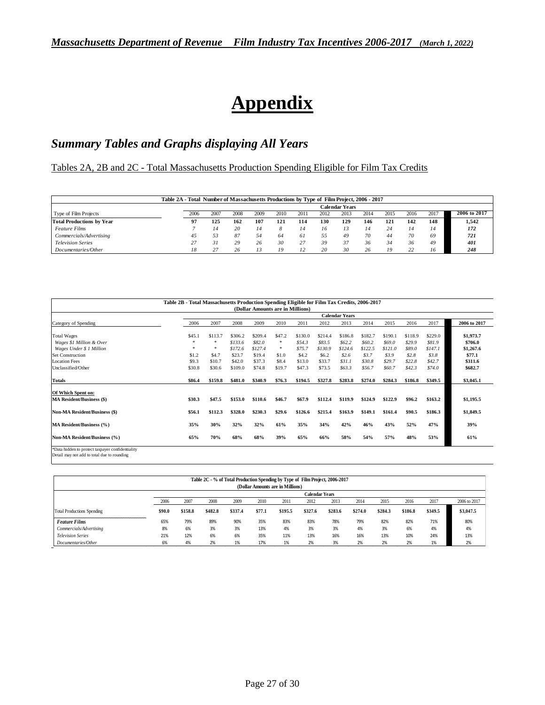# **Appendix**

## *Summary Tables and Graphs displaying All Years*

Tables 2A, 2B and 2C - Total Massachusetts Production Spending Eligible for Film Tax Credits

|                                  | Table 2A - Total Number of Massachusetts Productions by Type of Film Project, 2006 - 2017 |      |      |      |      |      |      | <b>Calendar Years</b> |      |      |      |      |              |
|----------------------------------|-------------------------------------------------------------------------------------------|------|------|------|------|------|------|-----------------------|------|------|------|------|--------------|
| Type of Film Projects            | 2006                                                                                      | 2007 | 2008 | 2009 | 2010 | 2011 | 2012 | 2013                  | 2014 | 2015 | 2016 | 2017 | 2006 to 2017 |
| <b>Total Productions by Year</b> | 97                                                                                        | 125  | 162  | 107  | 121  | 114  | 130  | 129                   | 146  | 121  | 142  | 148  | 1,542        |
| <b>Feature Films</b>             |                                                                                           | 14   | 20   | 14   | 8    | 14   | 16   | 13                    | 14   | 24   | 14   | 14   | 172          |
| Commercials/Advertising          | 45                                                                                        | 53   | 87   | 54   | 64   | 61   | 55   | 49                    | 70   | 44   | 70   | 69   | 721          |
| <b>Television Series</b>         | 27                                                                                        | 31   | 29   | 26   | 30   | 27   | 39   | 37                    | 36   | 34   | 36   | 49   | 401          |
| Documentaries/Other              | 18                                                                                        | 27   | 26   | 13   | 19   | 12   | 20   | 30                    | 26   | 19   | 22   | 16   | 248          |

| (Dollar Amounts are in Millions)<br><b>Calendar Years</b> |         |         |         |        |         |         |          |         |         |          |         |              |
|-----------------------------------------------------------|---------|---------|---------|--------|---------|---------|----------|---------|---------|----------|---------|--------------|
| 2006                                                      | 2007    | 2008    | 2009    | 2010   | 2011    | 2012    | 2013     | 2014    | 2015    | 2016     | 2017    | 2006 to 2017 |
| \$45.1                                                    | \$113.7 | \$306.2 | \$209.4 | \$47.2 | \$130.0 | \$214.4 | \$186.8  | \$182.7 | \$190.1 | \$118.9  | \$229.0 | \$1,973.7    |
| ×                                                         | ×       | \$133.6 | \$82.0  | 寒      | \$54.3  | \$83.5  | \$62.2\$ | \$60.2  | \$69.0  | \$29.9   | \$81.9  | \$706.0      |
| ×                                                         | ×       | \$172.6 | \$127.4 | 寒      | \$75.7  | \$130.9 | \$124.6  | \$122.5 | \$121.0 | \$89.0   | \$147.1 | \$1,267.6    |
| \$1.2                                                     | \$4.7   | \$23.7  | \$19.4  | \$1.0  | \$4.2   | \$6.2   | \$2.6    | \$3.7   | \$3.9   | \$2.8    | \$3.8\$ | \$77.1       |
| \$9.3                                                     | \$10.7  | \$42.0  | \$37.3  | \$8.4  | \$13.0  | \$33.7  | \$31.1   | \$30.8  | \$29.7  | \$22.8   | \$42.7  | \$311.6      |
| \$30.8                                                    | \$30.6  | \$109.0 | \$74.8  | \$19.7 | \$47.3  | \$73.5  | \$63.3   | \$56.7  | \$60.7  | \$42.3\$ | \$74.0  | \$682.7      |
| \$86.4                                                    | \$159.8 | \$481.0 | \$340.9 | \$76.3 | \$194.5 | \$327.8 | \$283.8  | \$274.0 | \$284.3 | \$186.8  | \$349.5 | \$3,045.1    |
|                                                           |         |         |         |        |         |         |          |         |         |          |         |              |
| \$30.3                                                    | \$47.5  | \$153.0 | \$110.6 | \$46.7 | \$67.9  | \$112.4 | \$119.9  | \$124.9 | \$122.9 | \$96.2   | \$163.2 | \$1,195.5    |
| \$56.1                                                    | \$112.3 | \$328.0 | \$230.3 | \$29.6 | \$126.6 | \$215.4 | \$163.9  | \$149.1 | \$161.4 | \$90.5   | \$186.3 | \$1,849.5    |
| 35%                                                       | 30%     | 32%     | 32%     | 61%    | 35%     | 34%     | 42%      | 46%     | 43%     | 52%      | 47%     | 39%          |
| 65%                                                       | 70%     | 68%     | 68%     | 39%    | 65%     | 66%     | 58%      | 54%     | 57%     | 48%      | 53%     | 61%          |
|                                                           |         |         |         |        |         |         |          |         |         |          |         |              |

|                                   |        |         |         |         |        | Table 2C - % of Total Production Spending by Type of Film Project, 2006-2017<br>(Dollar Amounts are in Millions) |                       |         |         |         |         |         |              |
|-----------------------------------|--------|---------|---------|---------|--------|------------------------------------------------------------------------------------------------------------------|-----------------------|---------|---------|---------|---------|---------|--------------|
|                                   |        |         |         |         |        |                                                                                                                  | <b>Calendar Years</b> |         |         |         |         |         |              |
|                                   | 2006   | 2007    | 2008    | 2009    | 2010   | 2011                                                                                                             | 2012                  | 2013    | 2014    | 2015    | 2016    | 2017    | 2006 to 2017 |
| <b>Total Productions Spending</b> | \$90.0 | \$158.8 | \$482.8 | \$337.4 | \$77.1 | \$195.5                                                                                                          | \$327.6               | \$283.6 | \$274.0 | \$284.3 | \$186.8 | \$349.5 | \$3,047.5    |
| <b>Feature Films</b>              | 65%    | 79%     | 89%     | 90%     | 35%    | 83%                                                                                                              | 83%                   | 78%     | 79%     | 82%     | 82%     | 71%     | 80%          |
| Commercials/Advertising           | 8%     | 6%      | 3%      | 3%      | 13%    | 4%                                                                                                               | 3%                    | 3%      | 4%      | 3%      | 6%      | 4%      | 4%           |
| <b>Television Series</b>          | 21%    | 12%     | 6%      | 6%      | 35%    | 11%                                                                                                              | 13%                   | 16%     | 16%     | 13%     | 10%     | 24%     | 13%          |
| Documentaries/Other               | 6%     | 4%      | 2%      | 1%      | 17%    | 1%                                                                                                               | 2%                    | 3%      | 2%      | 2%      | 2%      | 1%      | 2%           |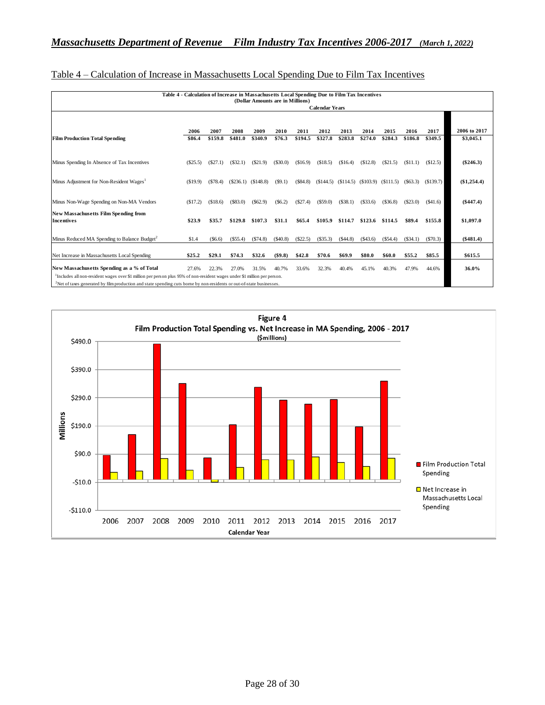|                                                                                                                                                                                                                                                                            |            |                       |         |                       |            | (Dollar Amounts are in Millions) |          |                                                       |         |            |            |          |               |
|----------------------------------------------------------------------------------------------------------------------------------------------------------------------------------------------------------------------------------------------------------------------------|------------|-----------------------|---------|-----------------------|------------|----------------------------------|----------|-------------------------------------------------------|---------|------------|------------|----------|---------------|
|                                                                                                                                                                                                                                                                            |            | <b>Calendar Years</b> |         |                       |            |                                  |          |                                                       |         |            |            |          |               |
|                                                                                                                                                                                                                                                                            |            |                       |         |                       |            |                                  |          |                                                       |         |            |            |          |               |
|                                                                                                                                                                                                                                                                            | 2006       | 2007                  | 2008    | 2009                  | 2010       | 2011                             | 2012     | 2013                                                  | 2014    | 2015       | 2016       | 2017     | 2006 to 2017  |
| <b>Film Production Total Spending</b>                                                                                                                                                                                                                                      | \$86.4     | \$159.8               | \$481.0 | \$340.9               | \$76.3     | \$194.5                          | \$327.8  | \$283.8                                               | \$274.0 | \$284.3    | \$186.8    | \$349.5  | \$3,045.1     |
| Minus Spending In Absence of Tax Incentives                                                                                                                                                                                                                                | $(\$25.5)$ | (S27.1)               | (S32.1) | (S21.9)               | $(\$30.0)$ | (\$16.9)                         | (\$18.5) | (S16.4)                                               | (S12.8) | (S21.5)    | (S11.1)    | (\$12.5) | $(\$246.3)$   |
| Minus Adjustment for Non-Resident Wages <sup>1</sup>                                                                                                                                                                                                                       | (S19.9)    | (S78.4)               |         | $(S236.1)$ $(S148.8)$ | (S9.1)     | (S84.8)                          |          | $($144.5)$ $($114.5)$ $($103.9)$ $($111.5)$ $($63.3)$ |         |            |            | (S139.7) | $(\$1,254.4)$ |
| Minus Non-Wage Spending on Non-MA Vendors                                                                                                                                                                                                                                  | (S17.2)    | (S18.6)               | (S83.0) | (S62.9)               | (S6.2)     | (S27.4)                          | (S59.0)  | (S38.1)                                               | (S33.6) | $(\$36.8)$ | (S23.0)    | (\$41.6) | (\$447.4)     |
| <b>New Massachusetts Film Spending from</b><br><b>Incentives</b>                                                                                                                                                                                                           | \$23.9     | \$35.7                | \$129.8 | \$107.3               | \$31.1     | \$65.4                           | \$105.9  | \$114.7                                               | \$123.6 | \$114.5    | \$89.4     | \$155.8  | \$1,097.0     |
| Minus Reduced MA Spending to Balance Budget <sup>2</sup>                                                                                                                                                                                                                   | \$1.4      | (S6.6)                | (S55.4) | (S74.8)               | (\$40.8)   | $(\$22.5)$                       | (S35.3)  | (S44.8)                                               | (S43.6) | $(\$54.4)$ | $(\$34.1)$ | (S70.3)  | (\$481.4)     |
| Net Increase in Massachusetts Local Spending                                                                                                                                                                                                                               | \$25.2     | \$29.1                | \$74.3  | \$32.6                | $(\$9.8)$  | \$42.8                           | \$70.6   | \$69.9                                                | \$80.0  | \$60.0     | \$55.2     | \$85.5   | \$615.5       |
| New Massachusetts Spending as a % of Total                                                                                                                                                                                                                                 | 27.6%      | 22.3%                 | 27.0%   | 31.5%                 | 40.7%      | 33.6%                            | 32.3%    | 40.4%                                                 | 45.1%   | 40.3%      | 47.9%      | 44.6%    | 36.0%         |
| <sup>1</sup> Includes all non-resident wages over \$1 million per person plus 95% of non-resident wages under \$1 million per person.<br><sup>2</sup> Net of taxes generated by film production and state spending cuts borne by non-residents or out-of-state businesses. |            |                       |         |                       |            |                                  |          |                                                       |         |            |            |          |               |

#### Table 4 – Calculation of Increase in Massachusetts Local Spending Due to Film Tax Incentives

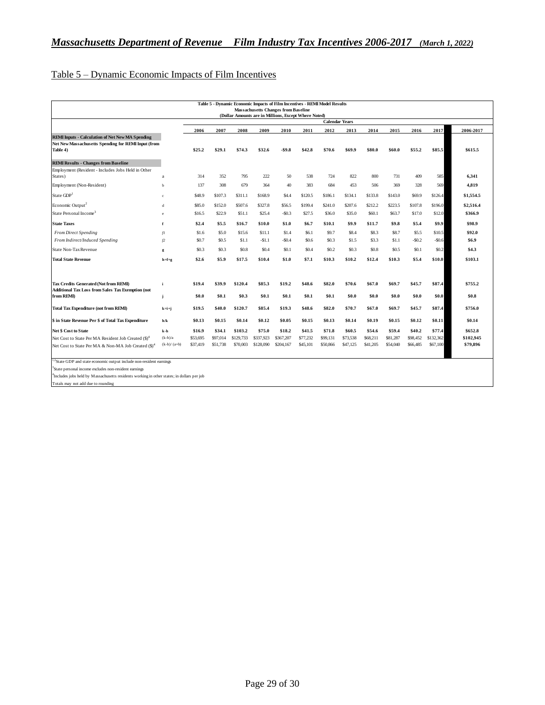## Table 5 – Dynamic Economic Impacts of Film Incentives

|                                                                        |               |          |          |           |           | Table 5 - Dynamic Economic Impacts of Film Incentives - REMI Model Results |          |                       |                  |          |          |          |           |           |
|------------------------------------------------------------------------|---------------|----------|----------|-----------|-----------|----------------------------------------------------------------------------|----------|-----------------------|------------------|----------|----------|----------|-----------|-----------|
|                                                                        |               |          |          |           |           | <b>Massachusetts Changes from Baseline</b>                                 |          |                       |                  |          |          |          |           |           |
|                                                                        |               |          |          |           |           | (Dollar Amounts are in Millions, Except Where Noted)                       |          | <b>Calendar Years</b> |                  |          |          |          |           |           |
|                                                                        |               | 2006     | 2007     | 2008      | 2009      | 2010                                                                       | 2011     | 2012                  | 2013             | 2014     | 2015     | 2016     | 2017      | 2006-2017 |
| <b>REMI Inputs - Calculation of Net New MA Spending</b>                |               |          |          |           |           |                                                                            |          |                       |                  |          |          |          |           |           |
| Net New Massachusetts Spending for REMI Input (from<br>Table 4)        |               | \$25.2   | \$29.1   | \$74.3    | \$32.6    | $-59.8$                                                                    | \$42.8   | \$70.6                | \$69.9           | \$80.0   | \$60.0   | \$55.2   | \$85.5    | \$615.5   |
| <b>REMI Results - Changes from Baseline</b>                            |               |          |          |           |           |                                                                            |          |                       |                  |          |          |          |           |           |
| Employment (Resident - Includes Jobs Held in Other                     |               |          |          |           |           |                                                                            |          |                       |                  |          |          |          |           |           |
| States)                                                                | a             | 314      | 352      | 795       | 222       | 50                                                                         | 538      | 724                   | 822              | 800      | 731      | 409      | 585       | 6.341     |
| Employment (Non-Resident)                                              | h             | 137      | 308      | 679       | 364       | 40                                                                         | 383      | 684                   | 453              | 506      | 369      | 328      | 569       | 4.819     |
| State GDP <sup>1</sup>                                                 | ċ.            | \$48.9   | \$107.3  | \$311.1   | \$168.9   | \$4.4                                                                      | \$120.5  | \$186.1               | \$134.1          | \$133.8  | \$143.0  | \$69.9   | \$126.4   | \$1,554.5 |
| Economic Output <sup>2</sup>                                           | d             | \$85.0   | \$152.0  | \$507.6   | \$327.8   | \$56.5                                                                     | \$199.4  | \$241.0               | \$207.6          | \$212.2  | \$223.5  | \$107.8  | \$196.0   | \$2,516.4 |
| State Personal Income <sup>3</sup>                                     | e             | \$16.5   | \$22.9   | \$51.1    | \$25.4    | $-50.3$                                                                    | \$27.5   | \$36.0                | \$35.0           | \$60.1   | \$63.7   | \$17.0   | \$12.0    | \$366.9   |
| <b>State Taxes</b>                                                     | f             | \$2.4    | \$5.5    | \$16.7    | \$10.0    | \$1.0                                                                      | \$6.7    | \$10.1                | \$9.9            | \$11.7   | \$9.8    | \$5.4    | \$9.9     | \$98.9    |
| <b>From Direct Spending</b>                                            | fI            | \$1.6    | \$5.0    | \$15.6    | \$11.1    | \$1.4                                                                      | \$6.1    | \$9.7                 | \$8.4            | \$8.3    | \$8.7    | \$5.5    | \$10.5    | \$92.0    |
| From Indirect/Induced Spending                                         | f2            | \$0.7    | \$0.5    | \$1.1     | $-51.1$   | $-50.4$                                                                    | \$0.6    | \$0.3                 | \$1.5            | \$3.3    | \$1.1    | $-50.2$  | $-$0.6$   | \$6.9     |
| State Non-Tax Revenue                                                  | g             | \$0.3    | \$0.3    | \$0.8     | \$0.4     | \$0.1                                                                      | \$0.4    | \$0.2                 | S <sub>0.3</sub> | \$0.8    | \$0.5    | \$0.1    | \$0.2     | \$4.3     |
| <b>Total State Revenue</b>                                             | $h = f + g$   | \$2.6    | \$5.9    | \$17.5    | \$10.4    | \$1.0                                                                      | \$7.1    | \$10.3                | \$10.2           | \$12.4   | \$10.3   | \$5.4    | \$10.0    | \$103.1   |
| Tax Credits Generated (Not from REMI)                                  |               | \$19.4   | \$39.9   | \$120.4   | \$85.3    | \$19.2                                                                     | \$48.6   | \$82.0                | \$70.6           | \$67.0   | \$69.7   | \$45.7   | \$87.4    | \$755.2   |
| <b>Additional Tax Loss from Sales Tax Exemption (not</b><br>from REMI) |               | \$0.0    | \$0.1    | \$0.3\$   | \$0.1     | \$0.1                                                                      | \$0.1    | \$0.1                 | \$0.0            | \$0.0    | \$0.0    | \$0.0    | \$0.0     | \$0.8     |
| <b>Total Tax Expenditure (not from REMI)</b>                           | $k = i + i$   | \$19.5   | \$40.0   | \$120.7   | \$85.4    | \$19.3                                                                     | \$48.6   | \$82.0                | \$70.7           | \$67.0   | \$69.7   | \$45.7   | \$87.4    | \$756.0   |
| \$ in State Revenue Per \$ of Total Tax Expenditure                    | h/k           | \$0.13   | \$0.15   | \$0.14    | \$0.12    | \$0.05                                                                     | \$0.15   | \$0.13                | \$0.14           | \$0.19   | \$0.15   | \$0.12   | \$0.11    | \$0.14    |
| <b>Net \$ Cost to State</b>                                            | k-h           | \$16.9   | \$34.1   | \$103.2   | \$75.0    | \$18.2                                                                     | \$41.5   | \$71.8                | \$60.5           | \$54.6   | \$59.4   | \$40.2   | \$77.4    | \$652.8   |
| Net Cost to State Per MA Resident Job Created (\$) <sup>4</sup>        | $(k-h)/a$     | \$53,695 | \$97,014 | \$129,733 | \$337,923 | \$367,207                                                                  | \$77,232 | \$99,131              | \$73,538         | \$68,211 | \$81,287 | \$98,452 | \$132,362 | \$102,945 |
| Net Cost to State Per MA & Non-MA Job Created (\$) <sup>4</sup>        | $(k-h)/(a+b)$ | \$37,419 | \$51,738 | \$70,003  | \$128,090 | \$204,167                                                                  | \$45,101 | \$50,866              | \$47,125         | \$41,205 | \$54,040 | \$66,485 | \$67,100  | \$79,896  |

 $3$ State GDP and state economic output include non-resident earnings

<sup>3</sup>State personal income excludes non-resident earnings

4 Includes jobs held by Massachusetts residents working in other states; in dollars per job

Totals may not add due to rounding